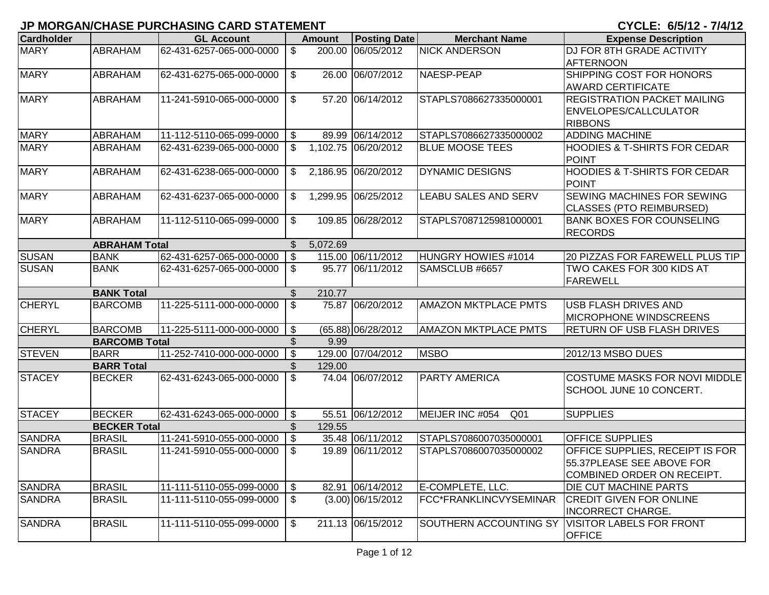| <b>Cardholder</b> |                      | <b>GL Account</b>        |                         | <b>Amount</b> | <b>Posting Date</b> | <b>Merchant Name</b>               | <b>Expense Description</b>                               |
|-------------------|----------------------|--------------------------|-------------------------|---------------|---------------------|------------------------------------|----------------------------------------------------------|
| <b>MARY</b>       | <b>ABRAHAM</b>       | 62-431-6257-065-000-0000 | \$                      | 200.00        | 06/05/2012          | <b>NICK ANDERSON</b>               | <b>DJ FOR 8TH GRADE ACTIVITY</b>                         |
|                   |                      |                          |                         |               |                     |                                    | AFTERNOON                                                |
| <b>MARY</b>       | <b>ABRAHAM</b>       | 62-431-6275-065-000-0000 | \$                      |               | 26.00 06/07/2012    | NAESP-PEAP                         | SHIPPING COST FOR HONORS                                 |
|                   |                      |                          |                         |               |                     |                                    | <b>AWARD CERTIFICATE</b>                                 |
| <b>MARY</b>       | <b>ABRAHAM</b>       | 11-241-5910-065-000-0000 | $\mathfrak{S}$          |               | 57.20 06/14/2012    | STAPLS7086627335000001             | <b>REGISTRATION PACKET MAILING</b>                       |
|                   |                      |                          |                         |               |                     |                                    | <b>ENVELOPES/CALLCULATOR</b>                             |
|                   |                      |                          |                         |               |                     |                                    | <b>RIBBONS</b>                                           |
| <b>MARY</b>       | <b>ABRAHAM</b>       | 11-112-5110-065-099-0000 | \$                      |               | 89.99 06/14/2012    | STAPLS7086627335000002             | <b>ADDING MACHINE</b>                                    |
| <b>MARY</b>       | <b>ABRAHAM</b>       | 62-431-6239-065-000-0000 | \$                      |               | 1,102.75 06/20/2012 | <b>BLUE MOOSE TEES</b>             | <b>HOODIES &amp; T-SHIRTS FOR CEDAR</b><br><b>POINT</b>  |
| <b>MARY</b>       | <b>ABRAHAM</b>       | 62-431-6238-065-000-0000 | \$                      |               | 2,186.95 06/20/2012 | <b>DYNAMIC DESIGNS</b>             | <b>HOODIES &amp; T-SHIRTS FOR CEDAR</b><br><b>POINT</b>  |
| <b>MARY</b>       | <b>ABRAHAM</b>       | 62-431-6237-065-000-0000 | \$                      |               | 1,299.95 06/25/2012 | <b>LEABU SALES AND SERV</b>        | SEWING MACHINES FOR SEWING                               |
|                   |                      |                          |                         |               |                     |                                    | <b>CLASSES (PTO REIMBURSED)</b>                          |
| <b>MARY</b>       | <b>ABRAHAM</b>       | 11-112-5110-065-099-0000 | \$                      |               | 109.85 06/28/2012   | STAPLS7087125981000001             | <b>BANK BOXES FOR COUNSELING</b>                         |
|                   |                      |                          |                         |               |                     |                                    | <b>RECORDS</b>                                           |
|                   | <b>ABRAHAM Total</b> |                          | \$                      | 5,072.69      |                     |                                    |                                                          |
| <b>SUSAN</b>      | <b>BANK</b>          | 62-431-6257-065-000-0000 | \$                      |               | 115.00 06/11/2012   | HUNGRY HOWIES #1014                | <b>20 PIZZAS FOR FAREWELL PLUS TIP</b>                   |
| <b>SUSAN</b>      | <b>BANK</b>          | 62-431-6257-065-000-0000 | \$                      |               | 95.77 06/11/2012    | SAMSCLUB #6657                     | TWO CAKES FOR 300 KIDS AT                                |
|                   |                      |                          |                         |               |                     |                                    | FAREWELL                                                 |
|                   | <b>BANK Total</b>    |                          | $\mathbb{S}$            | 210.77        |                     |                                    |                                                          |
| <b>CHERYL</b>     | <b>BARCOMB</b>       | 11-225-5111-000-000-0000 | \$                      |               | 75.87 06/20/2012    | <b>AMAZON MKTPLACE PMTS</b>        | USB FLASH DRIVES AND                                     |
|                   |                      |                          |                         |               |                     |                                    | <b>MICROPHONE WINDSCREENS</b>                            |
| <b>CHERYL</b>     | <b>BARCOMB</b>       | 11-225-5111-000-000-0000 | $\$\$                   |               | (65.88) 06/28/2012  | <b>AMAZON MKTPLACE PMTS</b>        | <b>RETURN OF USB FLASH DRIVES</b>                        |
|                   | <b>BARCOMB Total</b> |                          | \$                      | 9.99          |                     |                                    |                                                          |
| <b>STEVEN</b>     | <b>BARR</b>          | 11-252-7410-000-000-0000 | \$                      |               | 129.00 07/04/2012   | <b>MSBO</b>                        | 2012/13 MSBO DUES                                        |
|                   | <b>BARR Total</b>    |                          | \$                      | 129.00        |                     |                                    |                                                          |
| <b>STACEY</b>     | <b>BECKER</b>        | 62-431-6243-065-000-0000 | \$                      |               | 74.04 06/07/2012    | <b>PARTY AMERICA</b>               | COSTUME MASKS FOR NOVI MIDDLE<br>SCHOOL JUNE 10 CONCERT. |
| <b>STACEY</b>     | <b>BECKER</b>        | 62-431-6243-065-000-0000 | $\$\$                   |               | 55.51 06/12/2012    | MEIJER INC #054<br>Q <sub>01</sub> | <b>SUPPLIES</b>                                          |
|                   | <b>BECKER Total</b>  |                          | $\$\$                   | 129.55        |                     |                                    |                                                          |
| <b>SANDRA</b>     | <b>BRASIL</b>        | 11-241-5910-055-000-0000 | $\sqrt[6]{\frac{1}{2}}$ |               | 35.48 06/11/2012    | STAPLS7086007035000001             | <b>OFFICE SUPPLIES</b>                                   |
| <b>SANDRA</b>     | <b>BRASIL</b>        | 11-241-5910-055-000-0000 | $\mathfrak{S}$          |               | 19.89 06/11/2012    | STAPLS7086007035000002             | OFFICE SUPPLIES, RECEIPT IS FOR                          |
|                   |                      |                          |                         |               |                     |                                    | 55.37PLEASE SEE ABOVE FOR                                |
|                   |                      |                          |                         |               |                     |                                    | COMBINED ORDER ON RECEIPT.                               |
| <b>SANDRA</b>     | <b>BRASIL</b>        | 11-111-5110-055-099-0000 | \$                      |               | 82.91 06/14/2012    | E-COMPLETE, LLC.                   | <b>DIE CUT MACHINE PARTS</b>                             |
| <b>SANDRA</b>     | <b>BRASIL</b>        | 11-111-5110-055-099-0000 | \$                      |               | $(3.00)$ 06/15/2012 | FCC*FRANKLINCVYSEMINAR             | <b>CREDIT GIVEN FOR ONLINE</b>                           |
|                   |                      |                          |                         |               |                     |                                    | INCORRECT CHARGE.                                        |
| <b>SANDRA</b>     | <b>BRASIL</b>        | 11-111-5110-055-099-0000 | $\$\$                   |               | 211.13 06/15/2012   | <b>SOUTHERN ACCOUNTING SY</b>      | <b>VISITOR LABELS FOR FRONT</b>                          |
|                   |                      |                          |                         |               |                     |                                    | <b>OFFICE</b>                                            |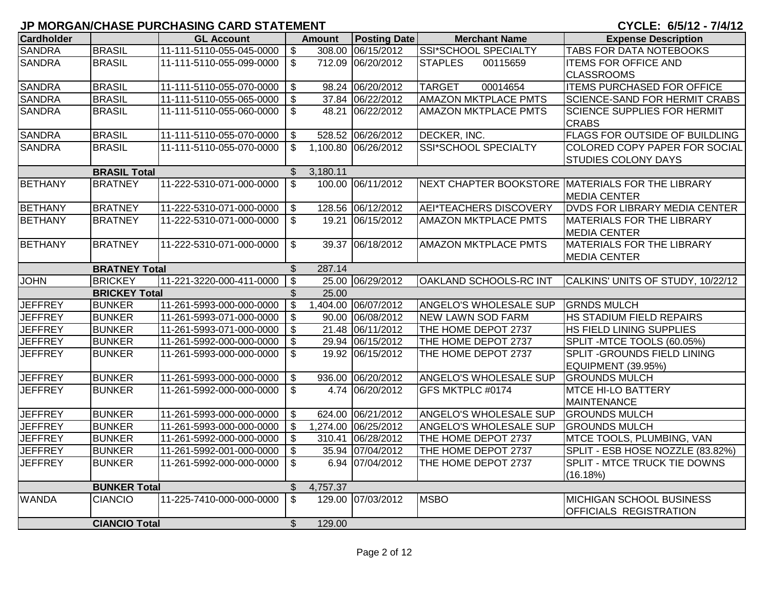| <b>Cardholder</b> |                      | <b>GL Account</b>               |                           | <b>Amount</b> | <b>Posting Date</b> | <b>Merchant Name</b>          | <b>Expense Description</b>                       |
|-------------------|----------------------|---------------------------------|---------------------------|---------------|---------------------|-------------------------------|--------------------------------------------------|
| <b>SANDRA</b>     | <b>BRASIL</b>        | $11-111-5110-055-045-0000$ \ \$ |                           |               | 308.00 06/15/2012   | <b>SSI*SCHOOL SPECIALTY</b>   | <b>TABS FOR DATA NOTEBOOKS</b>                   |
| <b>SANDRA</b>     | <b>BRASIL</b>        | 11-111-5110-055-099-0000        | $\mathfrak{S}$            |               | 712.09 06/20/2012   | <b>STAPLES</b><br>00115659    | <b>ITEMS FOR OFFICE AND</b>                      |
|                   |                      |                                 |                           |               |                     |                               | <b>CLASSROOMS</b>                                |
| <b>SANDRA</b>     | <b>BRASIL</b>        | 11-111-5110-055-070-0000        | $\sqrt[6]{3}$             |               | 98.24 06/20/2012    | 00014654<br><b>TARGET</b>     | <b>ITEMS PURCHASED FOR OFFICE</b>                |
| <b>SANDRA</b>     | <b>BRASIL</b>        | 11-111-5110-055-065-0000        | $\mathfrak{S}$            |               | 37.84 06/22/2012    | <b>AMAZON MKTPLACE PMTS</b>   | <b>SCIENCE-SAND FOR HERMIT CRABS</b>             |
| <b>SANDRA</b>     | <b>BRASIL</b>        | 11-111-5110-055-060-0000        | $$^{\circ}$               |               | 48.21 06/22/2012    | <b>AMAZON MKTPLACE PMTS</b>   | <b>SCIENCE SUPPLIES FOR HERMIT</b>               |
|                   |                      |                                 |                           |               |                     |                               | <b>CRABS</b>                                     |
| <b>SANDRA</b>     | <b>BRASIL</b>        | 11-111-5110-055-070-0000        | $\mathfrak{F}$            |               | 528.52 06/26/2012   | DECKER, INC.                  | <b>FLAGS FOR OUTSIDE OF BUILDLING</b>            |
| <b>SANDRA</b>     | <b>BRASIL</b>        | 11-111-5110-055-070-0000        | $\mathbb{S}$              |               | 1,100.80 06/26/2012 | <b>SSI*SCHOOL SPECIALTY</b>   | COLORED COPY PAPER FOR SOCIAL                    |
|                   |                      |                                 |                           |               |                     |                               | <b>STUDIES COLONY DAYS</b>                       |
|                   | <b>BRASIL Total</b>  |                                 | $\mathbb{S}$              | 3,180.11      |                     |                               |                                                  |
| <b>BETHANY</b>    | <b>BRATNEY</b>       | 11-222-5310-071-000-0000        | $\mathbb{S}$              |               | 100.00 06/11/2012   |                               | NEXT CHAPTER BOOKSTORE MATERIALS FOR THE LIBRARY |
|                   |                      |                                 |                           |               |                     |                               | <b>MEDIA CENTER</b>                              |
| <b>BETHANY</b>    | <b>BRATNEY</b>       | 11-222-5310-071-000-0000        | $\sqrt[6]{3}$             |               | 128.56 06/12/2012   | <b>AEI*TEACHERS DISCOVERY</b> | <b>DVDS FOR LIBRARY MEDIA CENTER</b>             |
| <b>BETHANY</b>    | <b>BRATNEY</b>       | 11-222-5310-071-000-0000        | $\mathbb{S}$              |               | 19.21 06/15/2012    | <b>AMAZON MKTPLACE PMTS</b>   | MATERIALS FOR THE LIBRARY                        |
|                   |                      |                                 |                           |               |                     |                               | <b>MEDIA CENTER</b>                              |
| <b>BETHANY</b>    | <b>BRATNEY</b>       | 11-222-5310-071-000-0000        | $$^{\circ}$               |               | 39.37 06/18/2012    | <b>AMAZON MKTPLACE PMTS</b>   | <b>MATERIALS FOR THE LIBRARY</b>                 |
|                   |                      |                                 |                           |               |                     |                               | <b>MEDIA CENTER</b>                              |
|                   | <b>BRATNEY Total</b> |                                 | $\mathfrak{S}$            | 287.14        |                     |                               |                                                  |
| <b>JOHN</b>       | <b>BRICKEY</b>       | 11-221-3220-000-411-0000        | $\overline{\mathbf{3}}$   |               | 25.00 06/29/2012    | OAKLAND SCHOOLS-RC INT        | CALKINS' UNITS OF STUDY, 10/22/12                |
|                   | <b>BRICKEY Total</b> |                                 |                           | 25.00         |                     |                               |                                                  |
| <b>JEFFREY</b>    | <b>BUNKER</b>        | 11-261-5993-000-000-0000        | $\bullet$                 |               | 1,404.00 06/07/2012 | ANGELO'S WHOLESALE SUP        | <b>GRNDS MULCH</b>                               |
| <b>JEFFREY</b>    | <b>BUNKER</b>        | 11-261-5993-071-000-0000        | $\sqrt[6]{3}$             |               | 90.00 06/08/2012    | <b>NEW LAWN SOD FARM</b>      | <b>HS STADIUM FIELD REPAIRS</b>                  |
| <b>JEFFREY</b>    | <b>BUNKER</b>        | 11-261-5993-071-000-0000        | $\sqrt[6]{3}$             |               | 21.48 06/11/2012    | THE HOME DEPOT 2737           | HS FIELD LINING SUPPLIES                         |
| <b>JEFFREY</b>    | <b>BUNKER</b>        | 11-261-5992-000-000-0000        | $\mathfrak{F}$            |               | 29.94 06/15/2012    | THE HOME DEPOT 2737           | SPLIT-MTCE TOOLS (60.05%)                        |
| <b>JEFFREY</b>    | <b>BUNKER</b>        | 11-261-5993-000-000-0000        | $\mathfrak{S}$            |               | 19.92 06/15/2012    | THE HOME DEPOT 2737           | <b>SPLIT - GROUNDS FIELD LINING</b>              |
|                   |                      |                                 |                           |               |                     |                               | EQUIPMENT (39.95%)                               |
| <b>JEFFREY</b>    | <b>BUNKER</b>        | 11-261-5993-000-000-0000        | \$                        |               | 936.00 06/20/2012   | <b>ANGELO'S WHOLESALE SUP</b> | <b>GROUNDS MULCH</b>                             |
| <b>JEFFREY</b>    | <b>BUNKER</b>        | 11-261-5992-000-000-0000        | \$                        |               | 4.74 06/20/2012     | GFS MKTPLC #0174              | <b>MTCE HI-LO BATTERY</b>                        |
|                   |                      |                                 |                           |               |                     |                               | <b>MAINTENANCE</b>                               |
| <b>JEFFREY</b>    | <b>BUNKER</b>        | 11-261-5993-000-000-0000        | $\sqrt{3}$                |               | 624.00 06/21/2012   | ANGELO'S WHOLESALE SUP        | <b>GROUNDS MULCH</b>                             |
| <b>JEFFREY</b>    | <b>BUNKER</b>        | 11-261-5993-000-000-0000        | $\sqrt{3}$                |               | 1,274.00 06/25/2012 | ANGELO'S WHOLESALE SUP        | <b>GROUNDS MULCH</b>                             |
| <b>JEFFREY</b>    | <b>BUNKER</b>        | 11-261-5992-000-000-0000        | $\mathcal{S}$             |               | 310.41 06/28/2012   | THE HOME DEPOT 2737           | <b>MTCE TOOLS, PLUMBING, VAN</b>                 |
| <b>JEFFREY</b>    | <b>BUNKER</b>        | 11-261-5992-001-000-0000        | \$                        |               | 35.94 07/04/2012    | THE HOME DEPOT 2737           | SPLIT - ESB HOSE NOZZLE (83.82%)                 |
| <b>JEFFREY</b>    | <b>BUNKER</b>        | 11-261-5992-000-000-0000        | $\boldsymbol{\mathsf{S}}$ |               | 6.94 07/04/2012     | THE HOME DEPOT 2737           | SPLIT - MTCE TRUCK TIE DOWNS                     |
|                   |                      |                                 |                           |               |                     |                               | (16.18%)                                         |
|                   | <b>BUNKER Total</b>  |                                 | $\mathcal{L}$             | 4,757.37      |                     |                               |                                                  |
| <b>WANDA</b>      | <b>CIANCIO</b>       | 11-225-7410-000-000-0000        | $\mathfrak{S}$            |               | 129.00 07/03/2012   | <b>MSBO</b>                   | MICHIGAN SCHOOL BUSINESS                         |
|                   |                      |                                 |                           |               |                     |                               | <b>OFFICIALS REGISTRATION</b>                    |
|                   | <b>CIANCIO Total</b> |                                 | $\mathfrak{S}$            | 129.00        |                     |                               |                                                  |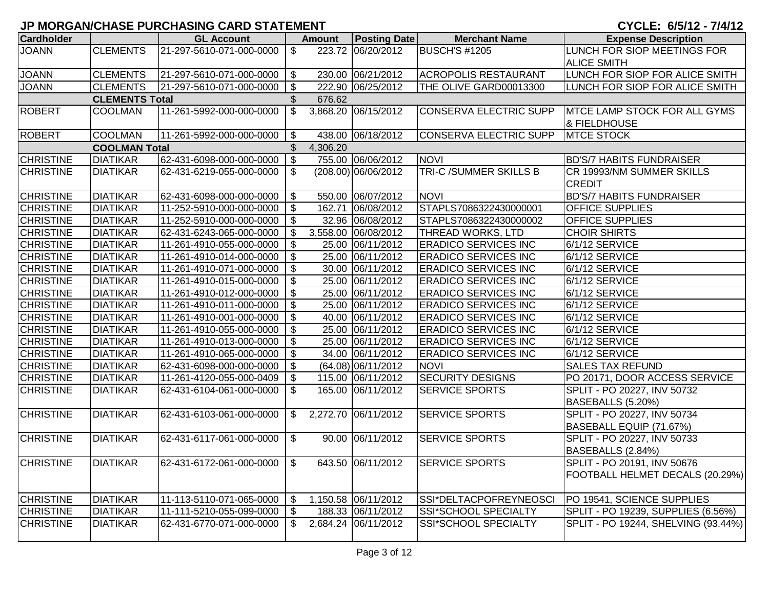| <b>Cardholder</b> |                       | <b>GL Account</b>        |                            | <b>Amount</b> | <b>Posting Date</b>  | <b>Merchant Name</b>        | <b>Expense Description</b>           |
|-------------------|-----------------------|--------------------------|----------------------------|---------------|----------------------|-----------------------------|--------------------------------------|
| <b>JOANN</b>      | <b>CLEMENTS</b>       | 21-297-5610-071-000-0000 | \$                         |               | 223.72 06/20/2012    | <b>BUSCH'S #1205</b>        | LUNCH FOR SIOP MEETINGS FOR          |
|                   |                       |                          |                            |               |                      |                             | <b>ALICE SMITH</b>                   |
| <b>JOANN</b>      | <b>CLEMENTS</b>       | 21-297-5610-071-000-0000 | \$                         |               | 230.00 06/21/2012    | <b>ACROPOLIS RESTAURANT</b> | LUNCH FOR SIOP FOR ALICE SMITH       |
| <b>JOANN</b>      | <b>CLEMENTS</b>       | 21-297-5610-071-000-0000 | \$                         |               | 222.90 06/25/2012    | THE OLIVE GARD00013300      | LUNCH FOR SIOP FOR ALICE SMITH       |
|                   | <b>CLEMENTS Total</b> |                          | $\frac{1}{2}$              | 676.62        |                      |                             |                                      |
| <b>ROBERT</b>     | <b>COOLMAN</b>        | 11-261-5992-000-000-0000 | $\boldsymbol{\mathsf{S}}$  |               | 3,868.20 06/15/2012  | CONSERVA ELECTRIC SUPP      | <b>IMTCE LAMP STOCK FOR ALL GYMS</b> |
|                   |                       |                          |                            |               |                      |                             | & FIELDHOUSE                         |
| <b>ROBERT</b>     | <b>COOLMAN</b>        | 11-261-5992-000-000-0000 | $\boldsymbol{\mathsf{S}}$  |               | 438.00 06/18/2012    | CONSERVA ELECTRIC SUPP      | <b>MTCE STOCK</b>                    |
|                   | <b>COOLMAN Total</b>  |                          | \$                         | 4,306.20      |                      |                             |                                      |
| <b>CHRISTINE</b>  | <b>DIATIKAR</b>       | 62-431-6098-000-000-0000 | $\boldsymbol{\mathsf{S}}$  |               | 755.00 06/06/2012    | <b>NOVI</b>                 | <b>BD'S/7 HABITS FUNDRAISER</b>      |
| <b>CHRISTINE</b>  | <b>DIATIKAR</b>       | 62-431-6219-055-000-0000 | $\sqrt[6]{\frac{1}{2}}$    |               | (208.00) 06/06/2012  | TRI-C /SUMMER SKILLS B      | CR 19993/NM SUMMER SKILLS            |
|                   |                       |                          |                            |               |                      |                             | <b>CREDIT</b>                        |
| <b>CHRISTINE</b>  | <b>DIATIKAR</b>       | 62-431-6098-000-000-0000 | \$                         |               | 550.00 06/07/2012    | <b>NOVI</b>                 | <b>BD'S/7 HABITS FUNDRAISER</b>      |
| <b>CHRISTINE</b>  | <b>DIATIKAR</b>       | 11-252-5910-000-000-0000 | $\boldsymbol{\mathsf{S}}$  |               | 162.71 06/08/2012    | STAPLS7086322430000001      | <b>OFFICE SUPPLIES</b>               |
| <b>CHRISTINE</b>  | <b>DIATIKAR</b>       | 11-252-5910-000-000-0000 | \$                         |               | 32.96 06/08/2012     | STAPLS7086322430000002      | <b>OFFICE SUPPLIES</b>               |
| <b>CHRISTINE</b>  | <b>DIATIKAR</b>       | 62-431-6243-065-000-0000 | \$                         |               | 3,558.00 06/08/2012  | THREAD WORKS, LTD           | <b>CHOIR SHIRTS</b>                  |
| <b>CHRISTINE</b>  | <b>DIATIKAR</b>       | 11-261-4910-055-000-0000 | $\frac{1}{2}$              |               | 25.00 06/11/2012     | <b>ERADICO SERVICES INC</b> | 6/1/12 SERVICE                       |
| <b>CHRISTINE</b>  | <b>DIATIKAR</b>       | 11-261-4910-014-000-0000 | $\sqrt[6]{\frac{1}{2}}$    |               | 25.00 06/11/2012     | <b>ERADICO SERVICES INC</b> | 6/1/12 SERVICE                       |
| <b>CHRISTINE</b>  | <b>DIATIKAR</b>       | 11-261-4910-071-000-0000 | $\frac{1}{2}$              |               | 30.00 06/11/2012     | <b>ERADICO SERVICES INC</b> | 6/1/12 SERVICE                       |
| <b>CHRISTINE</b>  | <b>DIATIKAR</b>       | 11-261-4910-015-000-0000 | $\frac{1}{2}$              |               | 25.00 06/11/2012     | <b>ERADICO SERVICES INC</b> | 6/1/12 SERVICE                       |
| <b>CHRISTINE</b>  | <b>DIATIKAR</b>       | 11-261-4910-012-000-0000 | $\boldsymbol{\mathsf{\$}}$ |               | 25.00 06/11/2012     | <b>ERADICO SERVICES INC</b> | 6/1/12 SERVICE                       |
| <b>CHRISTINE</b>  | <b>DIATIKAR</b>       | 11-261-4910-011-000-0000 | $\frac{1}{2}$              |               | 25.00 06/11/2012     | <b>ERADICO SERVICES INC</b> | 6/1/12 SERVICE                       |
| <b>CHRISTINE</b>  | <b>DIATIKAR</b>       | 11-261-4910-001-000-0000 | $\frac{1}{2}$              |               | 40.00 06/11/2012     | <b>ERADICO SERVICES INC</b> | 6/1/12 SERVICE                       |
| <b>CHRISTINE</b>  | <b>DIATIKAR</b>       | 11-261-4910-055-000-0000 | $\frac{1}{2}$              |               | 25.00 06/11/2012     | <b>ERADICO SERVICES INC</b> | 6/1/12 SERVICE                       |
| <b>CHRISTINE</b>  | <b>DIATIKAR</b>       | 11-261-4910-013-000-0000 | $\frac{1}{2}$              |               | 25.00 06/11/2012     | <b>ERADICO SERVICES INC</b> | 6/1/12 SERVICE                       |
| <b>CHRISTINE</b>  | <b>DIATIKAR</b>       | 11-261-4910-065-000-0000 | \$                         |               | 34.00 06/11/2012     | <b>ERADICO SERVICES INC</b> | 6/1/12 SERVICE                       |
| <b>CHRISTINE</b>  | <b>DIATIKAR</b>       | 62-431-6098-000-000-0000 | $\sqrt[6]{3}$              |               | $(64.08)$ 06/11/2012 | <b>NOVI</b>                 | <b>SALES TAX REFUND</b>              |
| <b>CHRISTINE</b>  | <b>DIATIKAR</b>       | 11-261-4120-055-000-0409 | \$                         |               | 115.00 06/11/2012    | <b>SECURITY DESIGNS</b>     | PO 20171, DOOR ACCESS SERVICE        |
| <b>CHRISTINE</b>  | <b>DIATIKAR</b>       | 62-431-6104-061-000-0000 | $\boldsymbol{\mathsf{S}}$  |               | 165.00 06/11/2012    | <b>SERVICE SPORTS</b>       | SPLIT - PO 20227, INV 50732          |
|                   |                       |                          |                            |               |                      |                             | BASEBALLS (5.20%)                    |
| <b>CHRISTINE</b>  | <b>DIATIKAR</b>       | 62-431-6103-061-000-0000 | \$                         |               | 2,272.70 06/11/2012  | <b>SERVICE SPORTS</b>       | SPLIT - PO 20227, INV 50734          |
|                   |                       |                          |                            |               |                      |                             | BASEBALL EQUIP (71.67%)              |
| <b>CHRISTINE</b>  | <b>DIATIKAR</b>       | 62-431-6117-061-000-0000 | $\sqrt[6]{\frac{1}{2}}$    |               | 90.00 06/11/2012     | <b>SERVICE SPORTS</b>       | SPLIT - PO 20227, INV 50733          |
|                   |                       |                          |                            |               |                      |                             | BASEBALLS (2.84%)                    |
| <b>CHRISTINE</b>  | <b>DIATIKAR</b>       | 62-431-6172-061-000-0000 | $\mathcal{S}$              |               | 643.50 06/11/2012    | <b>SERVICE SPORTS</b>       | SPLIT - PO 20191, INV 50676          |
|                   |                       |                          |                            |               |                      |                             | FOOTBALL HELMET DECALS (20.29%)      |
|                   |                       |                          |                            |               |                      |                             |                                      |
| <b>CHRISTINE</b>  | <b>DIATIKAR</b>       | 11-113-5110-071-065-0000 | \$                         |               | 1,150.58 06/11/2012  | SSI*DELTACPOFREYNEOSCI      | PO 19541, SCIENCE SUPPLIES           |
| <b>CHRISTINE</b>  | <b>DIATIKAR</b>       | 11-111-5210-055-099-0000 | \$                         |               | 188.33 06/11/2012    | SSI*SCHOOL SPECIALTY        | SPLIT - PO 19239, SUPPLIES (6.56%)   |
| <b>CHRISTINE</b>  | <b>DIATIKAR</b>       | 62-431-6770-071-000-0000 | \$                         |               | 2,684.24 06/11/2012  | SSI*SCHOOL SPECIALTY        | SPLIT - PO 19244, SHELVING (93.44%)  |
|                   |                       |                          |                            |               |                      |                             |                                      |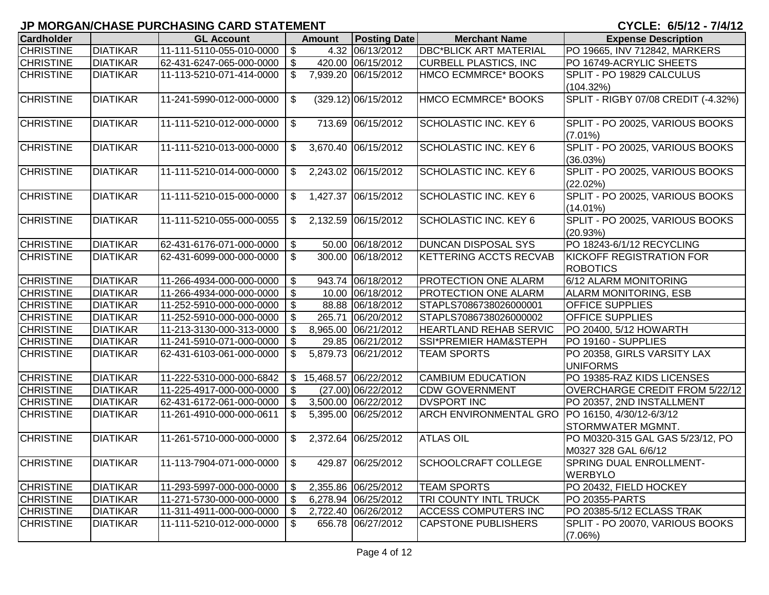| <b>Cardholder</b> |                 | <b>GL Account</b>           |                           | <b>Amount</b> | <b>Posting Date</b>    | <b>Merchant Name</b>                             | <b>Expense Description</b>                    |
|-------------------|-----------------|-----------------------------|---------------------------|---------------|------------------------|--------------------------------------------------|-----------------------------------------------|
| <b>CHRISTINE</b>  | <b>DIATIKAR</b> | 11-111-5110-055-010-0000    | $\boldsymbol{\mathsf{S}}$ |               | 4.32 06/13/2012        | <b>DBC*BLICK ART MATERIAL</b>                    | PO 19665, INV 712842, MARKERS                 |
| <b>CHRISTINE</b>  | <b>DIATIKAR</b> | 62-431-6247-065-000-0000    | $\sqrt[6]{\frac{1}{2}}$   |               | 420.00 06/15/2012      | <b>CURBELL PLASTICS, INC</b>                     | PO 16749-ACRYLIC SHEETS                       |
| <b>CHRISTINE</b>  | <b>DIATIKAR</b> | 11-113-5210-071-414-0000    | $\mathbb{S}$              |               | 7,939.20 06/15/2012    | HMCO ECMMRCE* BOOKS                              | SPLIT - PO 19829 CALCULUS                     |
|                   |                 |                             |                           |               |                        |                                                  | (104.32%)                                     |
| <b>CHRISTINE</b>  | <b>DIATIKAR</b> | 11-241-5990-012-000-0000    | $\boldsymbol{\mathsf{S}}$ |               | $(329.12)$ 06/15/2012  | HMCO ECMMRCE* BOOKS                              | SPLIT - RIGBY 07/08 CREDIT (-4.32%)           |
|                   |                 |                             |                           |               |                        |                                                  |                                               |
| <b>CHRISTINE</b>  | <b>DIATIKAR</b> | 11-111-5210-012-000-0000    | $\boldsymbol{\mathsf{S}}$ |               | 713.69 06/15/2012      | <b>SCHOLASTIC INC. KEY 6</b>                     | SPLIT - PO 20025, VARIOUS BOOKS<br>$(7.01\%)$ |
| <b>CHRISTINE</b>  | <b>DIATIKAR</b> | 11-111-5210-013-000-0000    | $\sqrt[6]{2}$             |               | 3,670.40 06/15/2012    | <b>SCHOLASTIC INC. KEY 6</b>                     | SPLIT - PO 20025, VARIOUS BOOKS               |
|                   |                 |                             |                           |               |                        |                                                  | (36.03%)                                      |
| <b>CHRISTINE</b>  | <b>DIATIKAR</b> | 11-111-5210-014-000-0000    | $\sqrt[6]{2}$             |               | 2,243.02 06/15/2012    | <b>SCHOLASTIC INC. KEY 6</b>                     | SPLIT - PO 20025, VARIOUS BOOKS               |
|                   |                 |                             |                           |               |                        |                                                  | (22.02%)                                      |
| <b>CHRISTINE</b>  | <b>DIATIKAR</b> | 11-111-5210-015-000-0000    | $\mathfrak{S}$            |               | 1,427.37 06/15/2012    | <b>SCHOLASTIC INC. KEY 6</b>                     | SPLIT - PO 20025, VARIOUS BOOKS               |
|                   |                 |                             |                           |               |                        |                                                  | $(14.01\%)$                                   |
| <b>CHRISTINE</b>  | <b>DIATIKAR</b> | 11-111-5210-055-000-0055    | $\sqrt[6]{\frac{1}{2}}$   |               | 2,132.59 06/15/2012    | <b>SCHOLASTIC INC. KEY 6</b>                     | SPLIT - PO 20025, VARIOUS BOOKS               |
|                   |                 |                             |                           |               |                        |                                                  | (20.93%)                                      |
| <b>CHRISTINE</b>  | <b>DIATIKAR</b> | 62-431-6176-071-000-0000    | $\sqrt[6]{\frac{1}{2}}$   |               | 50.00 06/18/2012       | <b>DUNCAN DISPOSAL SYS</b>                       | PO 18243-6/1/12 RECYCLING                     |
| <b>CHRISTINE</b>  | <b>DIATIKAR</b> | 62-431-6099-000-000-0000    | \$                        |               | 300.00 06/18/2012      | <b>KETTERING ACCTS RECVAB</b>                    | KICKOFF REGISTRATION FOR                      |
|                   |                 |                             |                           |               |                        |                                                  | <b>ROBOTICS</b>                               |
| <b>CHRISTINE</b>  | <b>DIATIKAR</b> | 11-266-4934-000-000-0000    | \$                        |               | 943.74 06/18/2012      | PROTECTION ONE ALARM                             | 6/12 ALARM MONITORING                         |
| <b>CHRISTINE</b>  | <b>DIATIKAR</b> | 11-266-4934-000-000-0000    | $\sqrt[6]{3}$             |               | 10.00 06/18/2012       | PROTECTION ONE ALARM                             | <b>ALARM MONITORING, ESB</b>                  |
| <b>CHRISTINE</b>  | <b>DIATIKAR</b> | 11-252-5910-000-000-0000    | $\sqrt[6]{3}$             |               | 88.88 06/18/2012       | STAPLS7086738026000001                           | OFFICE SUPPLIES                               |
| <b>CHRISTINE</b>  | <b>DIATIKAR</b> | 11-252-5910-000-000-0000    | \$                        |               | 265.71 06/20/2012      | STAPLS7086738026000002                           | <b>OFFICE SUPPLIES</b>                        |
| <b>CHRISTINE</b>  | <b>DIATIKAR</b> | 11-213-3130-000-313-0000    | \$                        |               | 8,965.00 06/21/2012    | <b>HEARTLAND REHAB SERVIC</b>                    | PO 20400, 5/12 HOWARTH                        |
| <b>CHRISTINE</b>  | <b>DIATIKAR</b> | 11-241-5910-071-000-0000    | \$                        |               | 29.85 06/21/2012       | <b>SSI*PREMIER HAM&amp;STEPH</b>                 | PO 19160 - SUPPLIES                           |
| <b>CHRISTINE</b>  | <b>DIATIKAR</b> | 62-431-6103-061-000-0000    | \$                        |               | 5,879.73 06/21/2012    | <b>TEAM SPORTS</b>                               | PO 20358, GIRLS VARSITY LAX                   |
|                   |                 |                             |                           |               |                        |                                                  | <b>UNIFORMS</b>                               |
| <b>CHRISTINE</b>  | <b>DIATIKAR</b> | 11-222-5310-000-000-6842    |                           |               | \$15,468.57 06/22/2012 | <b>CAMBIUM EDUCATION</b>                         | PO 19385-RAZ KIDS LICENSES                    |
| <b>CHRISTINE</b>  | <b>DIATIKAR</b> | 11-225-4917-000-000-0000    | \$                        |               | (27.00) 06/22/2012     | <b>CDW GOVERNMENT</b>                            | OVERCHARGE CREDIT FROM 5/22/12                |
| <b>CHRISTINE</b>  | <b>DIATIKAR</b> | 62-431-6172-061-000-0000    | \$                        |               | 3,500.00 06/22/2012    | <b>DVSPORT INC</b>                               | PO 20357, 2ND INSTALLMENT                     |
| <b>CHRISTINE</b>  | <b>DIATIKAR</b> | 11-261-4910-000-000-0611    | \$                        |               | 5,395.00 06/25/2012    | ARCH ENVIRONMENTAL GRO  PO 16150, 4/30/12-6/3/12 |                                               |
|                   |                 |                             |                           |               |                        |                                                  | STORMWATER MGMNT.                             |
| <b>CHRISTINE</b>  | <b>DIATIKAR</b> | 11-261-5710-000-000-0000    | \$                        |               | 2,372.64 06/25/2012    | <b>ATLAS OIL</b>                                 | PO M0320-315 GAL GAS 5/23/12, PO              |
|                   |                 |                             |                           |               |                        |                                                  | M0327 328 GAL 6/6/12                          |
| <b>CHRISTINE</b>  | <b>DIATIKAR</b> | 11-113-7904-071-000-0000 \$ |                           |               | 429.87 06/25/2012      | <b>SCHOOLCRAFT COLLEGE</b>                       | SPRING DUAL ENROLLMENT-                       |
|                   |                 |                             |                           |               |                        |                                                  | <b>WERBYLO</b>                                |
| <b>CHRISTINE</b>  | <b>DIATIKAR</b> | 11-293-5997-000-000-0000    | \$                        |               | 2,355.86 06/25/2012    | <b>TEAM SPORTS</b>                               | PO 20432, FIELD HOCKEY                        |
| <b>CHRISTINE</b>  | <b>DIATIKAR</b> | 11-271-5730-000-000-0000    | \$                        |               | 6,278.94 06/25/2012    | <b>TRI COUNTY INTL TRUCK</b>                     | PO 20355-PARTS                                |
| <b>CHRISTINE</b>  | <b>DIATIKAR</b> | 11-311-4911-000-000-0000    | \$                        |               | 2,722.40 06/26/2012    | <b>ACCESS COMPUTERS INC</b>                      | PO 20385-5/12 ECLASS TRAK                     |
| <b>CHRISTINE</b>  | <b>DIATIKAR</b> | 11-111-5210-012-000-0000    | \$                        |               | 656.78 06/27/2012      | <b>CAPSTONE PUBLISHERS</b>                       | SPLIT - PO 20070, VARIOUS BOOKS               |
|                   |                 |                             |                           |               |                        |                                                  | $(7.06\%)$                                    |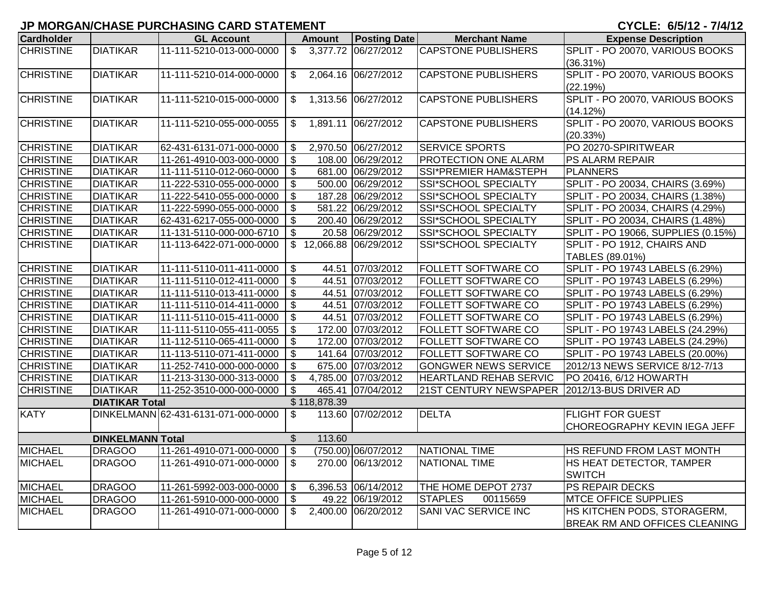| <b>Cardholder</b> |                         | <b>GL Account</b>                   |                           | <b>Amount</b> | <b>Posting Date</b>    | <b>Merchant Name</b>          | <b>Expense Description</b>           |
|-------------------|-------------------------|-------------------------------------|---------------------------|---------------|------------------------|-------------------------------|--------------------------------------|
| <b>CHRISTINE</b>  | <b>DIATIKAR</b>         | 11-111-5210-013-000-0000            | $\overline{\mathbf{3}}$   |               | 3,377.72 06/27/2012    | <b>CAPSTONE PUBLISHERS</b>    | SPLIT - PO 20070, VARIOUS BOOKS      |
|                   |                         |                                     |                           |               |                        |                               | (36.31%)                             |
| <b>CHRISTINE</b>  | <b>DIATIKAR</b>         | 11-111-5210-014-000-0000            | $\mathfrak{S}$            |               | 2,064.16 06/27/2012    | <b>CAPSTONE PUBLISHERS</b>    | SPLIT - PO 20070, VARIOUS BOOKS      |
|                   |                         |                                     |                           |               |                        |                               | (22.19%)                             |
| <b>CHRISTINE</b>  | <b>DIATIKAR</b>         | 11-111-5210-015-000-0000            | $\mathfrak{S}$            |               | 1,313.56 06/27/2012    | <b>CAPSTONE PUBLISHERS</b>    | SPLIT - PO 20070, VARIOUS BOOKS      |
|                   |                         |                                     |                           |               |                        |                               | (14.12%)                             |
| <b>CHRISTINE</b>  | <b>DIATIKAR</b>         | 11-111-5210-055-000-0055            | $\mathfrak{S}$            |               | 1,891.11 06/27/2012    | <b>CAPSTONE PUBLISHERS</b>    | SPLIT - PO 20070, VARIOUS BOOKS      |
|                   |                         |                                     |                           |               |                        |                               | (20.33%)                             |
| <b>CHRISTINE</b>  | <b>DIATIKAR</b>         | 62-431-6131-071-000-0000            | $\boldsymbol{\mathsf{S}}$ |               | 2,970.50 06/27/2012    | <b>SERVICE SPORTS</b>         | PO 20270-SPIRITWEAR                  |
| <b>CHRISTINE</b>  | <b>DIATIKAR</b>         | 11-261-4910-003-000-0000            | \$                        |               | 108.00 06/29/2012      | PROTECTION ONE ALARM          | PS ALARM REPAIR                      |
| <b>CHRISTINE</b>  | <b>DIATIKAR</b>         | 11-111-5110-012-060-0000            | \$                        |               | 681.00 06/29/2012      | SSI*PREMIER HAM&STEPH         | <b>PLANNERS</b>                      |
| <b>CHRISTINE</b>  | <b>DIATIKAR</b>         | 11-222-5310-055-000-0000            | $\boldsymbol{\mathsf{S}}$ |               | 500.00 06/29/2012      | SSI*SCHOOL SPECIALTY          | SPLIT - PO 20034, CHAIRS (3.69%)     |
| <b>CHRISTINE</b>  | <b>DIATIKAR</b>         | 11-222-5410-055-000-0000            | \$                        |               | 187.28 06/29/2012      | SSI*SCHOOL SPECIALTY          | SPLIT - PO 20034, CHAIRS (1.38%)     |
| <b>CHRISTINE</b>  | <b>DIATIKAR</b>         | 11-222-5990-055-000-0000            | \$                        |               | 581.22 06/29/2012      | SSI*SCHOOL SPECIALTY          | SPLIT - PO 20034, CHAIRS (4.29%)     |
| <b>CHRISTINE</b>  | <b>DIATIKAR</b>         | 62-431-6217-055-000-0000            | \$                        |               | 200.40 06/29/2012      | SSI*SCHOOL SPECIALTY          | SPLIT - PO 20034, CHAIRS (1.48%)     |
| <b>CHRISTINE</b>  | <b>DIATIKAR</b>         | 11-131-5110-000-000-6710            | $\sqrt[6]{\frac{1}{2}}$   |               | 20.58 06/29/2012       | SSI*SCHOOL SPECIALTY          | SPLIT - PO 19066, SUPPLIES (0.15%)   |
| <b>CHRISTINE</b>  | <b>DIATIKAR</b>         | 11-113-6422-071-000-0000            |                           |               | \$12,066.88 06/29/2012 | SSI*SCHOOL SPECIALTY          | SPLIT - PO 1912, CHAIRS AND          |
|                   |                         |                                     |                           |               |                        |                               | TABLES (89.01%)                      |
| <b>CHRISTINE</b>  | <b>DIATIKAR</b>         | 11-111-5110-011-411-0000            | $\boldsymbol{\mathsf{S}}$ |               | 44.51 07/03/2012       | FOLLETT SOFTWARE CO           | SPLIT - PO 19743 LABELS (6.29%)      |
| <b>CHRISTINE</b>  | <b>DIATIKAR</b>         | 11-111-5110-012-411-0000            | $\sqrt[6]{3}$             |               | 44.51 07/03/2012       | FOLLETT SOFTWARE CO           | SPLIT - PO 19743 LABELS (6.29%)      |
| <b>CHRISTINE</b>  | <b>DIATIKAR</b>         | 11-111-5110-013-411-0000            | $\boldsymbol{\mathsf{S}}$ |               | 44.51 07/03/2012       | <b>FOLLETT SOFTWARE CO</b>    | SPLIT - PO 19743 LABELS (6.29%)      |
| <b>CHRISTINE</b>  | <b>DIATIKAR</b>         | 11-111-5110-014-411-0000            | \$                        |               | 44.51 07/03/2012       | FOLLETT SOFTWARE CO           | SPLIT - PO 19743 LABELS (6.29%)      |
| <b>CHRISTINE</b>  | <b>DIATIKAR</b>         | 11-111-5110-015-411-0000            | \$                        |               | 44.51 07/03/2012       | FOLLETT SOFTWARE CO           | SPLIT - PO 19743 LABELS (6.29%)      |
| <b>CHRISTINE</b>  | <b>DIATIKAR</b>         | 11-111-5110-055-411-0055            | $\boldsymbol{\mathsf{S}}$ |               | 172.00 07/03/2012      | <b>FOLLETT SOFTWARE CO</b>    | SPLIT - PO 19743 LABELS (24.29%)     |
| <b>CHRISTINE</b>  | <b>DIATIKAR</b>         | 11-112-5110-065-411-0000            | $\boldsymbol{\mathsf{S}}$ |               | 172.00 07/03/2012      | <b>FOLLETT SOFTWARE CO</b>    | SPLIT - PO 19743 LABELS (24.29%)     |
| <b>CHRISTINE</b>  | <b>DIATIKAR</b>         | 11-113-5110-071-411-0000            | \$                        |               | 141.64 07/03/2012      | <b>FOLLETT SOFTWARE CO</b>    | SPLIT - PO 19743 LABELS (20.00%)     |
| <b>CHRISTINE</b>  | <b>DIATIKAR</b>         | 11-252-7410-000-000-0000            | \$                        |               | 675.00 07/03/2012      | <b>GONGWER NEWS SERVICE</b>   | 2012/13 NEWS SERVICE 8/12-7/13       |
| <b>CHRISTINE</b>  | <b>DIATIKAR</b>         | 11-213-3130-000-313-0000            | $\boldsymbol{\mathsf{S}}$ |               | 4,785.00 07/03/2012    | <b>HEARTLAND REHAB SERVIC</b> | PO 20416, 6/12 HOWARTH               |
| <b>CHRISTINE</b>  | <b>DIATIKAR</b>         | 11-252-3510-000-000-0000            | \$                        | 465.41        | 07/04/2012             | 21ST CENTURY NEWSPAPER        | 2012/13-BUS DRIVER AD                |
|                   | <b>DIATIKAR Total</b>   |                                     |                           | \$118,878.39  |                        |                               |                                      |
| <b>KATY</b>       |                         | DINKELMANN 62-431-6131-071-000-0000 | $\boldsymbol{\mathsf{S}}$ |               | 113.60 07/02/2012      | <b>DELTA</b>                  | <b>FLIGHT FOR GUEST</b>              |
|                   |                         |                                     |                           |               |                        |                               | CHOREOGRAPHY KEVIN IEGA JEFF         |
|                   | <b>DINKELMANN Total</b> |                                     | $\frac{1}{2}$             | 113.60        |                        |                               |                                      |
| <b>MICHAEL</b>    | <b>DRAGOO</b>           | 11-261-4910-071-000-0000            | $\sqrt[6]{\frac{1}{2}}$   |               | (750.00) 06/07/2012    | NATIONAL TIME                 | HS REFUND FROM LAST MONTH            |
| <b>MICHAEL</b>    | <b>DRAGOO</b>           | 11-261-4910-071-000-0000            | $\boldsymbol{\mathsf{S}}$ |               | 270.00 06/13/2012      | NATIONAL TIME                 | HS HEAT DETECTOR, TAMPER             |
|                   |                         |                                     |                           |               |                        |                               | <b>SWITCH</b>                        |
| <b>MICHAEL</b>    | <b>DRAGOO</b>           | 11-261-5992-003-000-0000            | $\mathfrak{S}$            |               | 6,396.53 06/14/2012    | THE HOME DEPOT 2737           | PS REPAIR DECKS                      |
| <b>MICHAEL</b>    | <b>DRAGOO</b>           | 11-261-5910-000-000-0000            | $\mathfrak{L}$            |               | 49.22 06/19/2012       | <b>STAPLES</b><br>00115659    | <b>MTCE OFFICE SUPPLIES</b>          |
| <b>MICHAEL</b>    | <b>DRAGOO</b>           | 11-261-4910-071-000-0000            | \$                        |               | 2,400.00 06/20/2012    | SANI VAC SERVICE INC          | HS KITCHEN PODS, STORAGERM,          |
|                   |                         |                                     |                           |               |                        |                               | <b>BREAK RM AND OFFICES CLEANING</b> |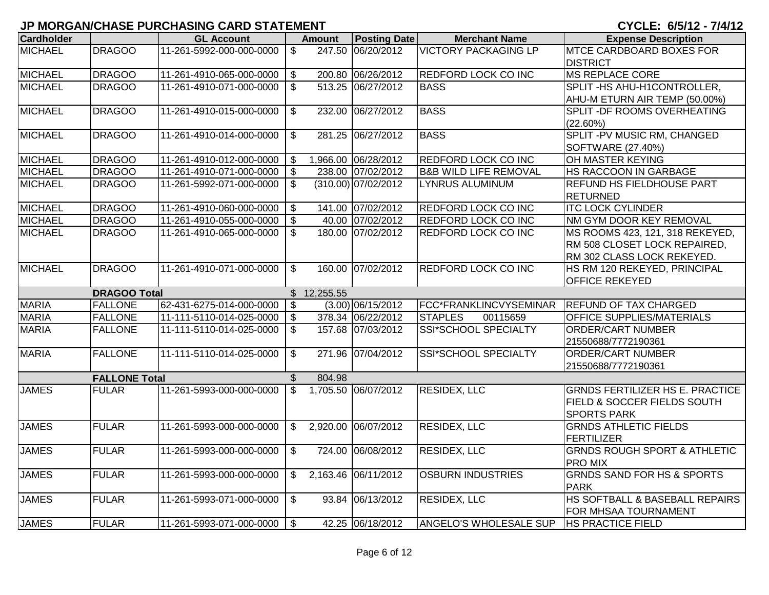## **JP MORGAN/CHASE PURCHASING CARD STATEMENT**

CYCLE: 6/5/12 - 7/4/12

| <b>Cardholder</b> |                      | <b>GL Account</b>           |                           | <b>Amount</b> | <b>Posting Date</b>   | <b>Merchant Name</b>             | <b>Expense Description</b>              |
|-------------------|----------------------|-----------------------------|---------------------------|---------------|-----------------------|----------------------------------|-----------------------------------------|
| <b>MICHAEL</b>    | <b>DRAGOO</b>        | 11-261-5992-000-000-0000    | $\overline{\mathcal{S}}$  |               | 247.50 06/20/2012     | <b>VICTORY PACKAGING LP</b>      | <b>MTCE CARDBOARD BOXES FOR</b>         |
|                   |                      |                             |                           |               |                       |                                  | <b>DISTRICT</b>                         |
| <b>MICHAEL</b>    | <b>DRAGOO</b>        | 11-261-4910-065-000-0000    | $\mathfrak{S}$            |               | 200.80 06/26/2012     | <b>REDFORD LOCK CO INC</b>       | <b>MS REPLACE CORE</b>                  |
| <b>MICHAEL</b>    | <b>DRAGOO</b>        | 11-261-4910-071-000-0000    | $\overline{\mathcal{S}}$  |               | 513.25 06/27/2012     | <b>BASS</b>                      | SPLIT-HS AHU-H1CONTROLLER,              |
|                   |                      |                             |                           |               |                       |                                  | AHU-M ETURN AIR TEMP (50.00%)           |
| <b>MICHAEL</b>    | <b>DRAGOO</b>        | 11-261-4910-015-000-0000    | $\mathfrak{F}$            |               | 232.00 06/27/2012     | <b>BASS</b>                      | SPLIT - DF ROOMS OVERHEATING            |
|                   |                      |                             |                           |               |                       |                                  | (22.60%)                                |
| <b>MICHAEL</b>    | <b>DRAGOO</b>        | 11-261-4910-014-000-0000    | $\overline{\mathcal{S}}$  |               | 281.25 06/27/2012     | <b>BASS</b>                      | SPLIT - PV MUSIC RM, CHANGED            |
|                   |                      |                             |                           |               |                       |                                  | SOFTWARE (27.40%)                       |
| <b>MICHAEL</b>    | <b>DRAGOO</b>        | 11-261-4910-012-000-0000    | \$                        |               | 1,966.00 06/28/2012   | <b>REDFORD LOCK CO INC</b>       | OH MASTER KEYING                        |
| <b>MICHAEL</b>    | <b>DRAGOO</b>        | 11-261-4910-071-000-0000    | $\overline{\mathbf{s}}$   |               | 238.00 07/02/2012     | <b>B&amp;B WILD LIFE REMOVAL</b> | <b>HS RACCOON IN GARBAGE</b>            |
| <b>MICHAEL</b>    | <b>DRAGOO</b>        | 11-261-5992-071-000-0000    | $\mathfrak{S}$            |               | $(310.00)$ 07/02/2012 | <b>LYNRUS ALUMINUM</b>           | <b>REFUND HS FIELDHOUSE PART</b>        |
|                   |                      |                             |                           |               |                       |                                  | <b>RETURNED</b>                         |
| <b>MICHAEL</b>    | <b>DRAGOO</b>        | 11-261-4910-060-000-0000    | $\mathfrak{S}$            |               | 141.00 07/02/2012     | <b>REDFORD LOCK CO INC</b>       | <b>ITC LOCK CYLINDER</b>                |
| <b>MICHAEL</b>    | <b>DRAGOO</b>        | 11-261-4910-055-000-0000    | $\mathfrak{S}$            |               | 40.00 07/02/2012      | <b>REDFORD LOCK CO INC</b>       | NM GYM DOOR KEY REMOVAL                 |
| <b>MICHAEL</b>    | <b>DRAGOO</b>        | 11-261-4910-065-000-0000    | $\mathfrak{S}$            |               | 180.00 07/02/2012     | <b>REDFORD LOCK CO INC</b>       | MS ROOMS 423, 121, 318 REKEYED,         |
|                   |                      |                             |                           |               |                       |                                  | RM 508 CLOSET LOCK REPAIRED,            |
|                   |                      |                             |                           |               |                       |                                  | RM 302 CLASS LOCK REKEYED.              |
| <b>MICHAEL</b>    | <b>DRAGOO</b>        | 11-261-4910-071-000-0000    | $\mathfrak{L}$            |               | 160.00 07/02/2012     | <b>REDFORD LOCK CO INC</b>       | HS RM 120 REKEYED, PRINCIPAL            |
|                   |                      |                             |                           |               |                       |                                  | <b>OFFICE REKEYED</b>                   |
|                   | <b>DRAGOO Total</b>  |                             |                           | \$12,255.55   |                       |                                  |                                         |
| <b>MARIA</b>      | <b>FALLONE</b>       | 62-431-6275-014-000-0000    | $\boldsymbol{\mathsf{S}}$ |               | $(3.00)$ 06/15/2012   | FCC*FRANKLINCVYSEMINAR           | <b>REFUND OF TAX CHARGED</b>            |
| <b>MARIA</b>      | <b>FALLONE</b>       | 11-111-5110-014-025-0000    | $\mathfrak{S}$            |               | 378.34 06/22/2012     | <b>STAPLES</b><br>00115659       | <b>OFFICE SUPPLIES/MATERIALS</b>        |
| <b>MARIA</b>      | <b>FALLONE</b>       | 11-111-5110-014-025-0000    | $\mathfrak{L}$            |               | 157.68 07/03/2012     | SSI*SCHOOL SPECIALTY             | <b>ORDER/CART NUMBER</b>                |
|                   |                      |                             |                           |               |                       |                                  | 21550688/7772190361                     |
| <b>MARIA</b>      | <b>FALLONE</b>       | 11-111-5110-014-025-0000    | $\overline{\mathcal{S}}$  |               | 271.96 07/04/2012     | SSI*SCHOOL SPECIALTY             | <b>ORDER/CART NUMBER</b>                |
|                   |                      |                             |                           |               |                       |                                  | 21550688/7772190361                     |
|                   | <b>FALLONE Total</b> |                             | $\frac{1}{2}$             | 804.98        |                       |                                  |                                         |
| <b>JAMES</b>      | <b>FULAR</b>         | 11-261-5993-000-000-0000    | $\overline{\mathcal{S}}$  |               | 1,705.50 06/07/2012   | <b>RESIDEX, LLC</b>              | <b>GRNDS FERTILIZER HS E. PRACTICE</b>  |
|                   |                      |                             |                           |               |                       |                                  | <b>FIELD &amp; SOCCER FIELDS SOUTH</b>  |
|                   |                      |                             |                           |               |                       |                                  | <b>SPORTS PARK</b>                      |
| <b>JAMES</b>      | <b>FULAR</b>         | 11-261-5993-000-000-0000    | $\mathfrak{S}$            |               | 2,920.00 06/07/2012   | <b>RESIDEX, LLC</b>              | <b>GRNDS ATHLETIC FIELDS</b>            |
|                   |                      |                             |                           |               |                       |                                  | FERTILIZER                              |
| <b>JAMES</b>      | <b>FULAR</b>         | 11-261-5993-000-000-0000    | \$                        |               | 724.00 06/08/2012     | <b>RESIDEX, LLC</b>              | <b>GRNDS ROUGH SPORT &amp; ATHLETIC</b> |
|                   |                      |                             |                           |               |                       |                                  | <b>PRO MIX</b>                          |
| <b>JAMES</b>      | <b>FULAR</b>         | 11-261-5993-000-000-0000    | $\mathfrak{S}$            |               | 2,163.46 06/11/2012   | <b>OSBURN INDUSTRIES</b>         | <b>GRNDS SAND FOR HS &amp; SPORTS</b>   |
|                   |                      |                             |                           |               |                       |                                  | <b>PARK</b>                             |
| <b>JAMES</b>      | <b>FULAR</b>         | 11-261-5993-071-000-0000    | $\mathfrak{S}$            | 93.84         | 06/13/2012            | <b>RESIDEX, LLC</b>              | HS SOFTBALL & BASEBALL REPAIRS          |
|                   |                      |                             |                           |               |                       |                                  | FOR MHSAA TOURNAMENT                    |
| <b>JAMES</b>      | <b>FULAR</b>         | 11-261-5993-071-000-0000 \$ |                           |               | 42.25 06/18/2012      | <b>ANGELO'S WHOLESALE SUP</b>    | <b>HS PRACTICE FIELD</b>                |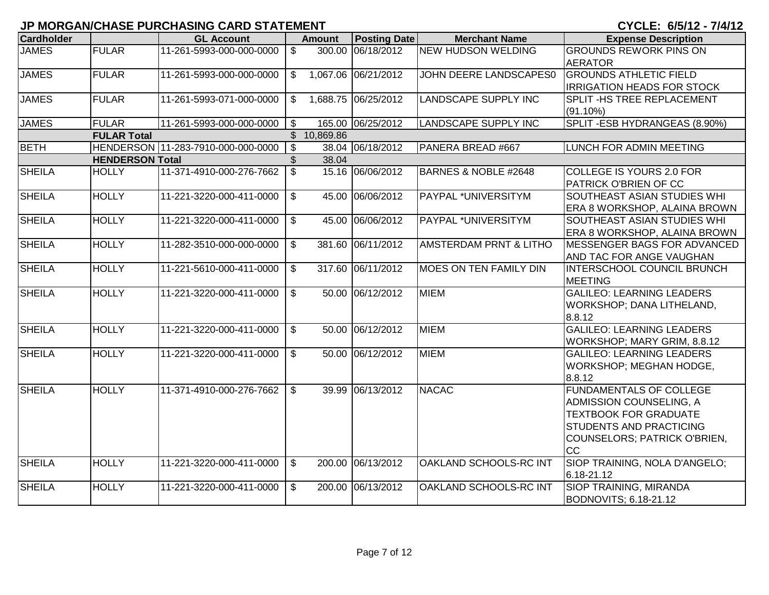|                   |                        |                                    |                           |               |                     |                                   | UI ULLI VIUI IL II TI IL          |
|-------------------|------------------------|------------------------------------|---------------------------|---------------|---------------------|-----------------------------------|-----------------------------------|
| <b>Cardholder</b> |                        | <b>GL Account</b>                  |                           | <b>Amount</b> | <b>Posting Date</b> | <b>Merchant Name</b>              | <b>Expense Description</b>        |
| <b>JAMES</b>      | <b>FULAR</b>           | 11-261-5993-000-000-0000           | $\mathbb{S}$              |               | 300.00 06/18/2012   | <b>NEW HUDSON WELDING</b>         | <b>GROUNDS REWORK PINS ON</b>     |
|                   |                        |                                    |                           |               |                     |                                   | <b>AERATOR</b>                    |
| <b>JAMES</b>      | <b>FULAR</b>           | 11-261-5993-000-000-0000           | $\mathfrak{S}$            |               | 1,067.06 06/21/2012 | JOHN DEERE LANDSCAPES0            | <b>GROUNDS ATHLETIC FIELD</b>     |
|                   |                        |                                    |                           |               |                     |                                   | <b>IRRIGATION HEADS FOR STOCK</b> |
| <b>JAMES</b>      | <b>FULAR</b>           | 11-261-5993-071-000-0000           | $\mathbb{S}$              |               | 1,688.75 06/25/2012 | <b>LANDSCAPE SUPPLY INC</b>       | SPLIT - HS TREE REPLACEMENT       |
|                   |                        |                                    |                           |               |                     |                                   | $(91.10\%)$                       |
| <b>JAMES</b>      | <b>FULAR</b>           | 11-261-5993-000-000-0000           | $\mathfrak{S}$            |               | 165.00 06/25/2012   | <b>LANDSCAPE SUPPLY INC</b>       | SPLIT-ESB HYDRANGEAS (8.90%)      |
|                   | <b>FULAR Total</b>     |                                    |                           | \$10,869.86   |                     |                                   |                                   |
| <b>BETH</b>       |                        | HENDERSON 11-283-7910-000-000-0000 | $\overline{\mathbf{3}}$   |               | 38.04 06/18/2012    | PANERA BREAD #667                 | LUNCH FOR ADMIN MEETING           |
|                   | <b>HENDERSON Total</b> |                                    | $\mathcal{S}$             | 38.04         |                     |                                   |                                   |
| <b>SHEILA</b>     | <b>HOLLY</b>           | 11-371-4910-000-276-7662           | $\overline{\mathbf{s}}$   |               | 15.16 06/06/2012    | BARNES & NOBLE #2648              | <b>COLLEGE IS YOURS 2.0 FOR</b>   |
|                   |                        |                                    |                           |               |                     |                                   | PATRICK O'BRIEN OF CC             |
| <b>SHEILA</b>     | <b>HOLLY</b>           | 11-221-3220-000-411-0000           | $\boldsymbol{\mathsf{S}}$ |               | 45.00 06/06/2012    | PAYPAL *UNIVERSITYM               | SOUTHEAST ASIAN STUDIES WHI       |
|                   |                        |                                    |                           |               |                     |                                   | ERA 8 WORKSHOP, ALAINA BROWN      |
| <b>SHEILA</b>     | <b>HOLLY</b>           | 11-221-3220-000-411-0000           | $\overline{\mathbf{3}}$   |               | 45.00 06/06/2012    | PAYPAL *UNIVERSITYM               | SOUTHEAST ASIAN STUDIES WHI       |
|                   |                        |                                    |                           |               |                     |                                   | ERA 8 WORKSHOP, ALAINA BROWN      |
| <b>SHEILA</b>     | <b>HOLLY</b>           | 11-282-3510-000-000-0000           | $\mathfrak{S}$            |               | 381.60 06/11/2012   | <b>AMSTERDAM PRNT &amp; LITHO</b> | MESSENGER BAGS FOR ADVANCED       |
|                   |                        |                                    |                           |               |                     |                                   | AND TAC FOR ANGE VAUGHAN          |
| <b>SHEILA</b>     | <b>HOLLY</b>           | 11-221-5610-000-411-0000           | $\mathfrak{S}$            |               | 317.60 06/11/2012   | <b>MOES ON TEN FAMILY DIN</b>     | INTERSCHOOL COUNCIL BRUNCH        |
|                   |                        |                                    |                           |               |                     |                                   | <b>MEETING</b>                    |
| <b>SHEILA</b>     | <b>HOLLY</b>           | 11-221-3220-000-411-0000           | $\overline{\mathbf{s}}$   |               | 50.00 06/12/2012    | <b>MIEM</b>                       | <b>GALILEO: LEARNING LEADERS</b>  |
|                   |                        |                                    |                           |               |                     |                                   | WORKSHOP; DANA LITHELAND,         |
|                   |                        |                                    |                           |               |                     |                                   | 8.8.12                            |
| <b>SHEILA</b>     | <b>HOLLY</b>           | 11-221-3220-000-411-0000           | $\mathbb{S}$              |               | 50.00 06/12/2012    | <b>MIEM</b>                       | <b>GALILEO: LEARNING LEADERS</b>  |
|                   |                        |                                    |                           |               |                     |                                   | WORKSHOP; MARY GRIM, 8.8.12       |
| <b>SHEILA</b>     | <b>HOLLY</b>           | 11-221-3220-000-411-0000           | $\mathbb{S}$              |               | 50.00 06/12/2012    | <b>MIEM</b>                       | <b>GALILEO: LEARNING LEADERS</b>  |
|                   |                        |                                    |                           |               |                     |                                   | WORKSHOP; MEGHAN HODGE,           |
|                   |                        |                                    |                           |               |                     |                                   | 8.8.12                            |
| <b>SHEILA</b>     | <b>HOLLY</b>           | 11-371-4910-000-276-7662           | $\overline{\mathfrak{s}}$ |               | 39.99 06/13/2012    | <b>NACAC</b>                      | <b>FUNDAMENTALS OF COLLEGE</b>    |
|                   |                        |                                    |                           |               |                     |                                   | ADMISSION COUNSELING, A           |
|                   |                        |                                    |                           |               |                     |                                   | <b>TEXTBOOK FOR GRADUATE</b>      |
|                   |                        |                                    |                           |               |                     |                                   | STUDENTS AND PRACTICING           |
|                   |                        |                                    |                           |               |                     |                                   | COUNSELORS; PATRICK O'BRIEN,      |
|                   |                        |                                    |                           |               |                     |                                   | <b>CC</b>                         |
| <b>SHEILA</b>     | <b>HOLLY</b>           | 11-221-3220-000-411-0000           | \$                        |               | 200.00 06/13/2012   | OAKLAND SCHOOLS-RC INT            | SIOP TRAINING, NOLA D'ANGELO;     |
|                   |                        |                                    |                           |               |                     |                                   | 6.18-21.12                        |
| <b>SHEILA</b>     | <b>HOLLY</b>           | 11-221-3220-000-411-0000           | $\mathbb{S}$              |               | 200.00 06/13/2012   | OAKLAND SCHOOLS-RC INT            | SIOP TRAINING, MIRANDA            |
|                   |                        |                                    |                           |               |                     |                                   | BODNOVITS; 6.18-21.12             |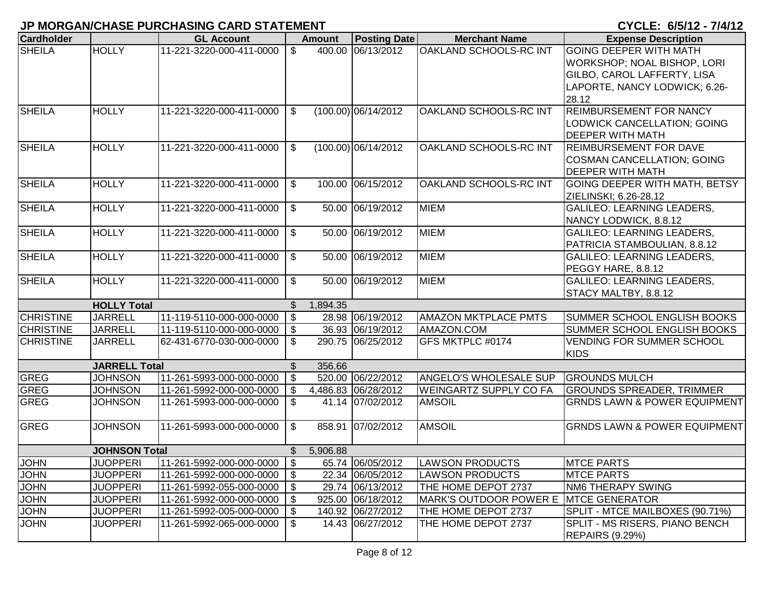| <b>Cardholder</b> |                      | <b>GL Account</b>           |                           | <b>Amount</b> | <b>Posting Date</b>   | <b>Merchant Name</b>          | <b>Expense Description</b>              |
|-------------------|----------------------|-----------------------------|---------------------------|---------------|-----------------------|-------------------------------|-----------------------------------------|
| <b>SHEILA</b>     | <b>HOLLY</b>         | 11-221-3220-000-411-0000    | \$                        |               | 400.00 06/13/2012     | OAKLAND SCHOOLS-RC INT        | <b>GOING DEEPER WITH MATH</b>           |
|                   |                      |                             |                           |               |                       |                               | WORKSHOP; NOAL BISHOP, LORI             |
|                   |                      |                             |                           |               |                       |                               | GILBO, CAROL LAFFERTY, LISA             |
|                   |                      |                             |                           |               |                       |                               | LAPORTE, NANCY LODWICK; 6.26-           |
|                   |                      |                             |                           |               |                       |                               | 28.12                                   |
| <b>SHEILA</b>     | <b>HOLLY</b>         | 11-221-3220-000-411-0000    | $\mathbb{S}$              |               | $(100.00)$ 06/14/2012 | <b>OAKLAND SCHOOLS-RC INT</b> | <b>REIMBURSEMENT FOR NANCY</b>          |
|                   |                      |                             |                           |               |                       |                               | LODWICK CANCELLATION; GOING             |
|                   |                      |                             |                           |               |                       |                               | <b>DEEPER WITH MATH</b>                 |
| <b>SHEILA</b>     | <b>HOLLY</b>         | 11-221-3220-000-411-0000    | \$                        |               | $(100.00)$ 06/14/2012 | OAKLAND SCHOOLS-RC INT        | <b>REIMBURSEMENT FOR DAVE</b>           |
|                   |                      |                             |                           |               |                       |                               | <b>COSMAN CANCELLATION; GOING</b>       |
|                   |                      |                             |                           |               |                       |                               | <b>DEEPER WITH MATH</b>                 |
| <b>SHEILA</b>     | <b>HOLLY</b>         | 11-221-3220-000-411-0000    | \$                        |               | 100.00 06/15/2012     | OAKLAND SCHOOLS-RC INT        | GOING DEEPER WITH MATH, BETSY           |
|                   |                      |                             |                           |               |                       |                               | ZIELINSKI; 6.26-28.12                   |
| <b>SHEILA</b>     | <b>HOLLY</b>         | 11-221-3220-000-411-0000    | $\mathfrak{S}$            |               | 50.00 06/19/2012      | <b>MIEM</b>                   | <b>GALILEO: LEARNING LEADERS,</b>       |
|                   |                      |                             |                           |               |                       |                               | NANCY LODWICK, 8.8.12                   |
| <b>SHEILA</b>     | <b>HOLLY</b>         | 11-221-3220-000-411-0000    | \$                        |               | 50.00 06/19/2012      | <b>MIEM</b>                   | <b>GALILEO: LEARNING LEADERS,</b>       |
|                   |                      |                             |                           |               |                       |                               | PATRICIA STAMBOULIAN, 8.8.12            |
| <b>SHEILA</b>     | <b>HOLLY</b>         | 11-221-3220-000-411-0000    | $\mathfrak{S}$            | 50.00         | 06/19/2012            | <b>MIEM</b>                   | <b>GALILEO: LEARNING LEADERS,</b>       |
|                   |                      |                             |                           |               |                       |                               | PEGGY HARE, 8.8.12                      |
| <b>SHEILA</b>     | <b>HOLLY</b>         | 11-221-3220-000-411-0000    | $\mathfrak{F}$            |               | 50.00 06/19/2012      | <b>MIEM</b>                   | <b>GALILEO: LEARNING LEADERS,</b>       |
|                   |                      |                             |                           |               |                       |                               | STACY MALTBY, 8.8.12                    |
|                   | <b>HOLLY Total</b>   |                             | \$                        | 1,894.35      |                       |                               |                                         |
| <b>CHRISTINE</b>  | <b>JARRELL</b>       | 11-119-5110-000-000-0000    | $\sqrt[6]{\frac{1}{2}}$   |               | 28.98 06/19/2012      | <b>AMAZON MKTPLACE PMTS</b>   | SUMMER SCHOOL ENGLISH BOOKS             |
| <b>CHRISTINE</b>  | <b>JARRELL</b>       | 11-119-5110-000-000-0000    | \$                        |               | 36.93 06/19/2012      | AMAZON.COM                    | SUMMER SCHOOL ENGLISH BOOKS             |
| <b>CHRISTINE</b>  | <b>JARRELL</b>       | 62-431-6770-030-000-0000    | \$                        |               | 290.75 06/25/2012     | GFS MKTPLC #0174              | <b>VENDING FOR SUMMER SCHOOL</b>        |
|                   |                      |                             |                           |               |                       |                               | <b>KIDS</b>                             |
|                   | <b>JARRELL Total</b> |                             | \$                        | 356.66        |                       |                               |                                         |
| <b>GREG</b>       | <b>JOHNSON</b>       | 11-261-5993-000-000-0000    | $\boldsymbol{\mathsf{S}}$ |               | 520.00 06/22/2012     | <b>ANGELO'S WHOLESALE SUP</b> | <b>GROUNDS MULCH</b>                    |
| <b>GREG</b>       | <b>JOHNSON</b>       | 11-261-5992-000-000-0000    | $\boldsymbol{\mathsf{S}}$ |               | 4,486.83 06/28/2012   | <b>WEINGARTZ SUPPLY CO FA</b> | <b>GROUNDS SPREADER, TRIMMER</b>        |
| <b>GREG</b>       | <b>JOHNSON</b>       | 11-261-5993-000-000-0000    | \$                        |               | 41.14 07/02/2012      | <b>AMSOIL</b>                 | <b>GRNDS LAWN &amp; POWER EQUIPMENT</b> |
| <b>GREG</b>       | <b>JOHNSON</b>       | 11-261-5993-000-000-0000    | \$                        |               | 858.91 07/02/2012     | <b>AMSOIL</b>                 | <b>GRNDS LAWN &amp; POWER EQUIPMENT</b> |
|                   |                      |                             |                           |               |                       |                               |                                         |
|                   | <b>JOHNSON Total</b> |                             | $\mathbb{S}$              | 5,906.88      |                       |                               |                                         |
| <b>JOHN</b>       | <b>JUOPPERI</b>      | 11-261-5992-000-000-0000 \$ |                           |               | 65.74 06/05/2012      | <b>LAWSON PRODUCTS</b>        | <b>MTCE PARTS</b>                       |
| <b>JOHN</b>       | <b>JUOPPERI</b>      | 11-261-5992-000-000-0000    | \$                        |               | 22.34 06/05/2012      | <b>LAWSON PRODUCTS</b>        | <b>MTCE PARTS</b>                       |
| <b>JOHN</b>       | <b>JUOPPERI</b>      | 11-261-5992-055-000-0000    | \$                        |               | 29.74 06/13/2012      | THE HOME DEPOT 2737           | NM6 THERAPY SWING                       |
| <b>JOHN</b>       | <b>JUOPPERI</b>      | 11-261-5992-000-000-0000    | \$                        |               | 925.00 06/18/2012     | MARK'S OUTDOOR POWER E        | <b>MTCE GENERATOR</b>                   |
| <b>JOHN</b>       | <b>JUOPPERI</b>      | 11-261-5992-005-000-0000    | \$                        |               | 140.92 06/27/2012     | THE HOME DEPOT 2737           | SPLIT - MTCE MAILBOXES (90.71%)         |
| <b>JOHN</b>       | <b>JUOPPERI</b>      | 11-261-5992-065-000-0000    | \$                        |               | 14.43 06/27/2012      | THE HOME DEPOT 2737           | SPLIT - MS RISERS, PIANO BENCH          |
|                   |                      |                             |                           |               |                       |                               | <b>REPAIRS (9.29%)</b>                  |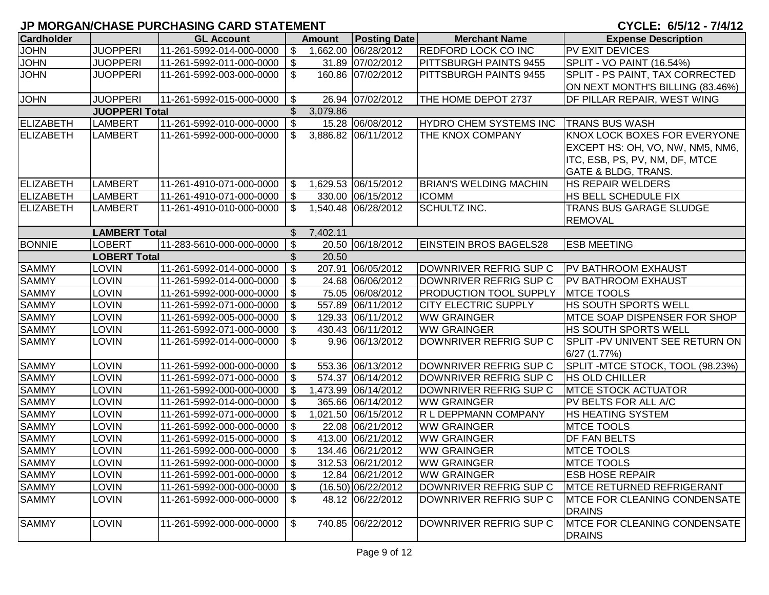| <b>Cardholder</b> |                       | <b>GL Account</b>            |                           | <b>Amount</b> | <b>Posting Date</b> | <b>Merchant Name</b>          | <b>Expense Description</b>        |
|-------------------|-----------------------|------------------------------|---------------------------|---------------|---------------------|-------------------------------|-----------------------------------|
| <b>JOHN</b>       | <b>JUOPPERI</b>       | 11-261-5992-014-000-0000     | $\sqrt[6]{3}$             |               | 1,662.00 06/28/2012 | <b>REDFORD LOCK CO INC</b>    | <b>PV EXIT DEVICES</b>            |
| <b>JOHN</b>       | <b>JUOPPERI</b>       | 11-261-5992-011-000-0000 \\$ |                           |               | 31.89 07/02/2012    | PITTSBURGH PAINTS 9455        | <b>SPLIT - VO PAINT (16.54%)</b>  |
| <b>JOHN</b>       | <b>JUOPPERI</b>       | 11-261-5992-003-000-0000     | - \$                      |               | 160.86 07/02/2012   | PITTSBURGH PAINTS 9455        | SPLIT - PS PAINT, TAX CORRECTED   |
|                   |                       |                              |                           |               |                     |                               | ON NEXT MONTH'S BILLING (83.46%)  |
| <b>JOHN</b>       | <b>JUOPPERI</b>       | 11-261-5992-015-000-0000     | l \$                      |               | 26.94 07/02/2012    | THE HOME DEPOT 2737           | DF PILLAR REPAIR, WEST WING       |
|                   | <b>JUOPPERI Total</b> |                              | \$                        | 3,079.86      |                     |                               |                                   |
| <b>ELIZABETH</b>  | LAMBERT               | 11-261-5992-010-000-0000     | $\sqrt[6]{\frac{1}{2}}$   |               | 15.28 06/08/2012    | HYDRO CHEM SYSTEMS INC        | <b>TRANS BUS WASH</b>             |
| <b>ELIZABETH</b>  | <b>LAMBERT</b>        | 11-261-5992-000-000-0000     | -\$                       |               | 3,886.82 06/11/2012 | THE KNOX COMPANY              | KNOX LOCK BOXES FOR EVERYONE      |
|                   |                       |                              |                           |               |                     |                               | EXCEPT HS: OH, VO, NW, NM5, NM6,  |
|                   |                       |                              |                           |               |                     |                               | ITC, ESB, PS, PV, NM, DF, MTCE    |
|                   |                       |                              |                           |               |                     |                               | <b>GATE &amp; BLDG, TRANS.</b>    |
| ELIZABETH         | <b>LAMBERT</b>        | 11-261-4910-071-000-0000     | l \$                      |               | 1,629.53 06/15/2012 | <b>BRIAN'S WELDING MACHIN</b> | HS REPAIR WELDERS                 |
| ELIZABETH         | <b>LAMBERT</b>        | 11-261-4910-071-000-0000     | \$                        |               | 330.00 06/15/2012   | <b>ICOMM</b>                  | HS BELL SCHEDULE FIX              |
| <b>ELIZABETH</b>  | <b>LAMBERT</b>        | 11-261-4910-010-000-0000     | S.                        |               | 1,540.48 06/28/2012 | <b>SCHULTZ INC.</b>           | <b>TRANS BUS GARAGE SLUDGE</b>    |
|                   |                       |                              |                           |               |                     |                               | <b>REMOVAL</b>                    |
|                   | <b>LAMBERT Total</b>  |                              | $\mathbb{S}$              | 7,402.11      |                     |                               |                                   |
| <b>BONNIE</b>     | <b>LOBERT</b>         | 11-283-5610-000-000-0000     | \$                        |               | 20.50 06/18/2012    | <b>EINSTEIN BROS BAGELS28</b> | <b>ESB MEETING</b>                |
|                   | <b>LOBERT Total</b>   |                              | \$                        | 20.50         |                     |                               |                                   |
| <b>SAMMY</b>      | <b>LOVIN</b>          | 11-261-5992-014-000-0000     | $\boldsymbol{\mathsf{S}}$ |               | 207.91 06/05/2012   | DOWNRIVER REFRIG SUP C        | <b>PV BATHROOM EXHAUST</b>        |
| <b>SAMMY</b>      | <b>LOVIN</b>          | 11-261-5992-014-000-0000     | \$                        |               | 24.68 06/06/2012    | DOWNRIVER REFRIG SUP C        | <b>PV BATHROOM EXHAUST</b>        |
| <b>SAMMY</b>      | <b>LOVIN</b>          | 11-261-5992-000-000-0000     | $\sqrt{3}$                |               | 75.05 06/08/2012    | <b>PRODUCTION TOOL SUPPLY</b> | <b>MTCE TOOLS</b>                 |
| <b>SAMMY</b>      | <b>LOVIN</b>          | 11-261-5992-071-000-0000     | <b>S</b>                  |               | 557.89 06/11/2012   | <b>CITY ELECTRIC SUPPLY</b>   | HS SOUTH SPORTS WELL              |
| <b>SAMMY</b>      | <b>LOVIN</b>          | 11-261-5992-005-000-0000     | \$                        |               | 129.33 06/11/2012   | <b>WW GRAINGER</b>            | MTCE SOAP DISPENSER FOR SHOP      |
| <b>SAMMY</b>      | LOVIN                 | 11-261-5992-071-000-0000     | \$                        |               | 430.43 06/11/2012   | <b>WW GRAINGER</b>            | HS SOUTH SPORTS WELL              |
| <b>SAMMY</b>      | LOVIN                 | 11-261-5992-014-000-0000     | \$                        |               | 9.96 06/13/2012     | DOWNRIVER REFRIG SUP C        | SPLIT - PV UNIVENT SEE RETURN ON  |
|                   |                       |                              |                           |               |                     |                               | $6/27$ $(1.77%)$                  |
| <b>SAMMY</b>      | <b>LOVIN</b>          | 11-261-5992-000-000-0000     | -\$                       |               | 553.36 06/13/2012   | DOWNRIVER REFRIG SUP C        | SPLIT - MTCE STOCK, TOOL (98.23%) |
| <b>SAMMY</b>      | <b>LOVIN</b>          | 11-261-5992-071-000-0000     | $\sqrt{3}$                |               | 574.37 06/14/2012   | DOWNRIVER REFRIG SUP C        | <b>HS OLD CHILLER</b>             |
| <b>SAMMY</b>      | <b>LOVIN</b>          | 11-261-5992-000-000-0000     | -\$                       |               | 1,473.99 06/14/2012 | DOWNRIVER REFRIG SUP C        | <b>IMTCE STOCK ACTUATOR</b>       |
| <b>SAMMY</b>      | <b>LOVIN</b>          | 11-261-5992-014-000-0000     | \$                        |               | 365.66 06/14/2012   | <b>WW GRAINGER</b>            | PV BELTS FOR ALL A/C              |
| <b>SAMMY</b>      | <b>LOVIN</b>          | 11-261-5992-071-000-0000     | \$                        |               | 1,021.50 06/15/2012 | R L DEPPMANN COMPANY          | HS HEATING SYSTEM                 |
| <b>SAMMY</b>      | <b>LOVIN</b>          | 11-261-5992-000-000-0000     | \$                        |               | 22.08 06/21/2012    | <b>WW GRAINGER</b>            | <b>MTCE TOOLS</b>                 |
| <b>SAMMY</b>      | <b>LOVIN</b>          | 11-261-5992-015-000-0000     | \$                        |               | 413.00 06/21/2012   | <b>WW GRAINGER</b>            | DF FAN BELTS                      |
| <b>SAMMY</b>      | <b>LOVIN</b>          | 11-261-5992-000-000-0000     | $\sqrt{3}$                |               | 134.46 06/21/2012   | <b>WW GRAINGER</b>            | <b>MTCE TOOLS</b>                 |
| <b>SAMMY</b>      | <b>LOVIN</b>          | 11-261-5992-000-000-0000 \$  |                           |               | 312.53 06/21/2012   | <b>WW GRAINGER</b>            | <b>MTCE TOOLS</b>                 |
| <b>SAMMY</b>      | <b>LOVIN</b>          | 11-261-5992-001-000-0000     | \$                        |               | 12.84 06/21/2012    | <b>WW GRAINGER</b>            | <b>ESB HOSE REPAIR</b>            |
| <b>SAMMY</b>      | LOVIN                 | 11-261-5992-000-000-0000     | \$                        |               | (16.50) 06/22/2012  | DOWNRIVER REFRIG SUP C        | <b>MTCE RETURNED REFRIGERANT</b>  |
| <b>SAMMY</b>      | <b>LOVIN</b>          | 11-261-5992-000-000-0000     | \$                        |               | 48.12 06/22/2012    | DOWNRIVER REFRIG SUP C        | MTCE FOR CLEANING CONDENSATE      |
|                   |                       |                              |                           |               |                     |                               | <b>DRAINS</b>                     |
| <b>SAMMY</b>      | <b>LOVIN</b>          | 11-261-5992-000-000-0000     | \$                        |               | 740.85 06/22/2012   | DOWNRIVER REFRIG SUP C        | MTCE FOR CLEANING CONDENSATE      |
|                   |                       |                              |                           |               |                     |                               | <b>DRAINS</b>                     |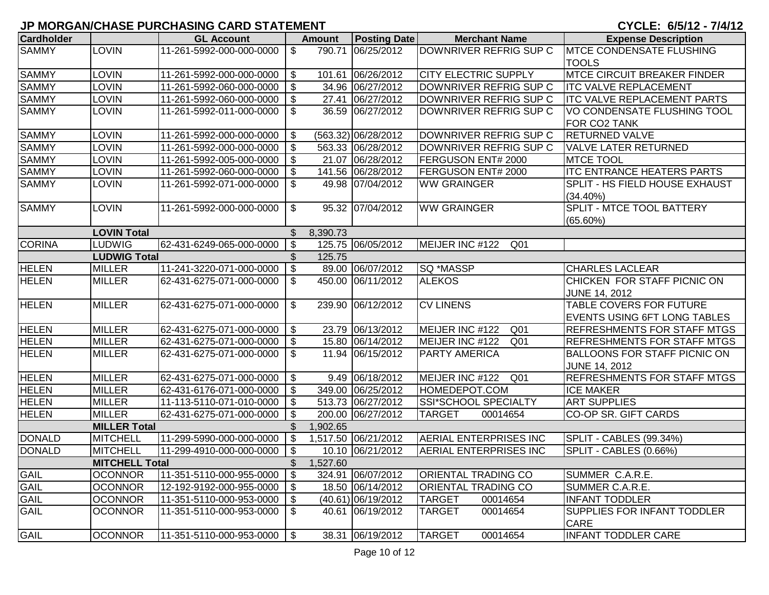| <b>Cardholder</b> |                       | <b>GL Account</b>            |                           | <b>Amount</b> | <b>Posting Date</b> | <b>Merchant Name</b>               | <b>Expense Description</b>          |
|-------------------|-----------------------|------------------------------|---------------------------|---------------|---------------------|------------------------------------|-------------------------------------|
| <b>SAMMY</b>      | <b>LOVIN</b>          | 11-261-5992-000-000-0000     | $\overline{\mathfrak{s}}$ |               | 790.71 06/25/2012   | DOWNRIVER REFRIG SUP C             | <b>MTCE CONDENSATE FLUSHING</b>     |
|                   |                       |                              |                           |               |                     |                                    | <b>TOOLS</b>                        |
| <b>SAMMY</b>      | <b>LOVIN</b>          | 11-261-5992-000-000-0000     | \$                        |               | 101.61 06/26/2012   | <b>CITY ELECTRIC SUPPLY</b>        | <b>MTCE CIRCUIT BREAKER FINDER</b>  |
| <b>SAMMY</b>      | <b>LOVIN</b>          | 11-261-5992-060-000-0000     | \$                        |               | 34.96 06/27/2012    | DOWNRIVER REFRIG SUP C             | <b>ITC VALVE REPLACEMENT</b>        |
| <b>SAMMY</b>      | <b>LOVIN</b>          | 11-261-5992-060-000-0000     | $\boldsymbol{\mathsf{S}}$ |               | 27.41 06/27/2012    | DOWNRIVER REFRIG SUP C             | <b>ITC VALVE REPLACEMENT PARTS</b>  |
| <b>SAMMY</b>      | <b>LOVIN</b>          | 11-261-5992-011-000-0000     | $\mathfrak{F}$            |               | 36.59 06/27/2012    | DOWNRIVER REFRIG SUP C             | VO CONDENSATE FLUSHING TOOL         |
|                   |                       |                              |                           |               |                     |                                    | FOR CO2 TANK                        |
| <b>SAMMY</b>      | LOVIN                 | 11-261-5992-000-000-0000     | \$                        |               | (563.32) 06/28/2012 | DOWNRIVER REFRIG SUP C             | <b>RETURNED VALVE</b>               |
| <b>SAMMY</b>      | <b>LOVIN</b>          | 11-261-5992-000-000-0000     | \$                        |               | 563.33 06/28/2012   | DOWNRIVER REFRIG SUP C             | <b>VALVE LATER RETURNED</b>         |
| <b>SAMMY</b>      | <b>LOVIN</b>          | 11-261-5992-005-000-0000     | \$                        |               | 21.07 06/28/2012    | FERGUSON ENT# 2000                 | <b>MTCE TOOL</b>                    |
| <b>SAMMY</b>      | <b>LOVIN</b>          | 11-261-5992-060-000-0000     | \$                        |               | 141.56 06/28/2012   | FERGUSON ENT# 2000                 | <b>ITC ENTRANCE HEATERS PARTS</b>   |
| <b>SAMMY</b>      | <b>LOVIN</b>          | 11-261-5992-071-000-0000     | $\mathfrak{L}$            |               | 49.98 07/04/2012    | <b>WW GRAINGER</b>                 | SPLIT - HS FIELD HOUSE EXHAUST      |
|                   |                       |                              |                           |               |                     |                                    | $(34.40\%)$                         |
| <b>SAMMY</b>      | <b>LOVIN</b>          | 11-261-5992-000-000-0000     | $\sqrt[6]{2}$             |               | 95.32 07/04/2012    | <b>WW GRAINGER</b>                 | <b>SPLIT - MTCE TOOL BATTERY</b>    |
|                   |                       |                              |                           |               |                     |                                    | (65.60%)                            |
|                   | <b>LOVIN Total</b>    |                              | $\mathfrak{L}$            | 8,390.73      |                     |                                    |                                     |
| <b>CORINA</b>     | <b>LUDWIG</b>         | 62-431-6249-065-000-0000     | $\sqrt[6]{\frac{1}{2}}$   |               | 125.75 06/05/2012   | MEIJER INC #122<br>Q <sub>01</sub> |                                     |
|                   | <b>LUDWIG Total</b>   |                              | $\mathbb{S}$              | 125.75        |                     |                                    |                                     |
| <b>HELEN</b>      | <b>MILLER</b>         | 11-241-3220-071-000-0000     | $\mathfrak{F}$            |               | 89.00 06/07/2012    | SQ *MASSP                          | <b>CHARLES LACLEAR</b>              |
| <b>HELEN</b>      | <b>MILLER</b>         | 62-431-6275-071-000-0000     | $\mathfrak{F}$            |               | 450.00 06/11/2012   | <b>ALEKOS</b>                      | CHICKEN FOR STAFF PICNIC ON         |
|                   |                       |                              |                           |               |                     |                                    | <b>JUNE 14, 2012</b>                |
| <b>HELEN</b>      | <b>MILLER</b>         | 62-431-6275-071-000-0000     | $\mathfrak{S}$            | 239.90        | 06/12/2012          | <b>CV LINENS</b>                   | <b>TABLE COVERS FOR FUTURE</b>      |
|                   |                       |                              |                           |               |                     |                                    | EVENTS USING 6FT LONG TABLES        |
| <b>HELEN</b>      | <b>MILLER</b>         | 62-431-6275-071-000-0000     | $\boldsymbol{\mathsf{S}}$ |               | 23.79 06/13/2012    | MEIJER INC #122<br>Q <sub>01</sub> | <b>REFRESHMENTS FOR STAFF MTGS</b>  |
| <b>HELEN</b>      | <b>MILLER</b>         | 62-431-6275-071-000-0000     | $\mathfrak{S}$            |               | 15.80 06/14/2012    | MEIJER INC #122<br>Q <sub>01</sub> | <b>REFRESHMENTS FOR STAFF MTGS</b>  |
| <b>HELEN</b>      | <b>MILLER</b>         | 62-431-6275-071-000-0000     | $\mathfrak{S}$            |               | 11.94 06/15/2012    | <b>PARTY AMERICA</b>               | <b>BALLOONS FOR STAFF PICNIC ON</b> |
|                   |                       |                              |                           |               |                     |                                    | <b>JUNE 14, 2012</b>                |
| <b>HELEN</b>      | <b>MILLER</b>         | 62-431-6275-071-000-0000     | $\boldsymbol{\mathsf{S}}$ |               | 9.49 06/18/2012     | MEIJER INC #122 Q01                | <b>REFRESHMENTS FOR STAFF MTGS</b>  |
| <b>HELEN</b>      | <b>MILLER</b>         | 62-431-6176-071-000-0000     | \$                        |               | 349.00 06/25/2012   | HOMEDEPOT.COM                      | <b>ICE MAKER</b>                    |
| <b>HELEN</b>      | <b>MILLER</b>         | 11-113-5110-071-010-0000     | $\boldsymbol{\mathsf{S}}$ |               | 513.73 06/27/2012   | SSI*SCHOOL SPECIALTY               | <b>ART SUPPLIES</b>                 |
| <b>HELEN</b>      | <b>MILLER</b>         | 62-431-6275-071-000-0000     | $\boldsymbol{\mathsf{S}}$ |               | 200.00 06/27/2012   | <b>TARGET</b><br>00014654          | <b>CO-OP SR. GIFT CARDS</b>         |
|                   | <b>MILLER Total</b>   |                              | \$                        | 1,902.65      |                     |                                    |                                     |
| <b>DONALD</b>     | <b>MITCHELL</b>       | 11-299-5990-000-000-0000     | $\sqrt[6]{3}$             |               | 1,517.50 06/21/2012 | <b>AERIAL ENTERPRISES INC</b>      | <b>SPLIT - CABLES (99.34%)</b>      |
| <b>DONALD</b>     | <b>MITCHELL</b>       | 11-299-4910-000-000-0000     | $\mathfrak{F}$            |               | 10.10 06/21/2012    | AERIAL ENTERPRISES INC             | SPLIT - CABLES (0.66%)              |
|                   | <b>MITCHELL Total</b> |                              | $\mathfrak{S}$            | 1,527.60      |                     |                                    |                                     |
| GAIL              | <b>OCONNOR</b>        | 11-351-5110-000-955-0000     | \$                        |               | 324.91 06/07/2012   | <b>ORIENTAL TRADING CO</b>         | SUMMER C.A.R.E.                     |
| <b>GAIL</b>       | <b>OCONNOR</b>        | 12-192-9192-000-955-0000     | $\mathfrak{F}$            |               | 18.50 06/14/2012    | <b>ORIENTAL TRADING CO</b>         | SUMMER C.A.R.E.                     |
| GAIL              | <b>OCONNOR</b>        | 11-351-5110-000-953-0000     | $\frac{1}{2}$             |               | (40.61) 06/19/2012  | <b>TARGET</b><br>00014654          | <b>INFANT TODDLER</b>               |
| GAIL              | <b>OCONNOR</b>        | 11-351-5110-000-953-0000     | \$                        |               | 40.61 06/19/2012    | <b>TARGET</b><br>00014654          | <b>SUPPLIES FOR INFANT TODDLER</b>  |
|                   |                       |                              |                           |               |                     |                                    | <b>CARE</b>                         |
| <b>GAIL</b>       | <b>OCONNOR</b>        | 11-351-5110-000-953-0000 \\$ |                           |               | 38.31 06/19/2012    | <b>TARGET</b><br>00014654          | <b>INFANT TODDLER CARE</b>          |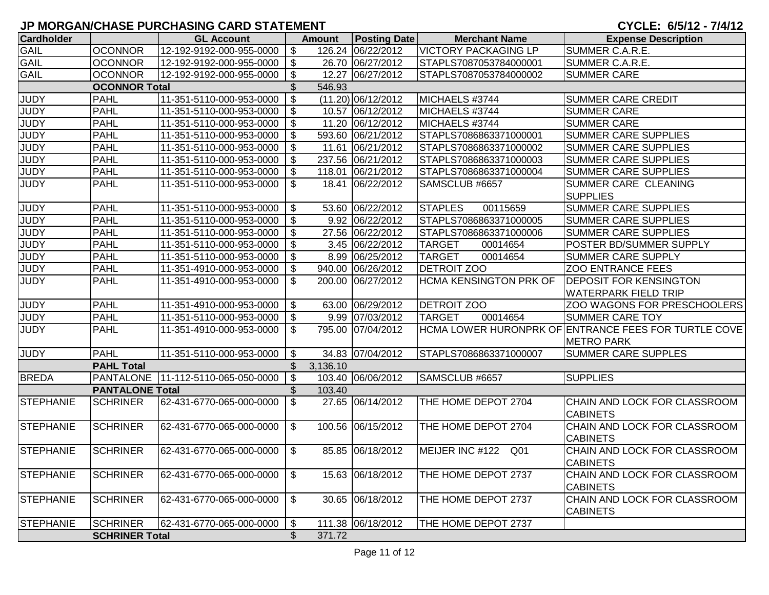| <b>Cardholder</b> |                        | <b>GL Account</b>                  |                           | <b>Amount</b> | <b>Posting Date</b>  | <b>Merchant Name</b>               | <b>Expense Description</b>                           |
|-------------------|------------------------|------------------------------------|---------------------------|---------------|----------------------|------------------------------------|------------------------------------------------------|
| <b>GAIL</b>       | <b>OCONNOR</b>         | 12-192-9192-000-955-0000           | \$                        |               | 126.24 06/22/2012    | <b>VICTORY PACKAGING LP</b>        | SUMMER C.A.R.E.                                      |
| <b>GAIL</b>       | <b>OCONNOR</b>         | 12-192-9192-000-955-0000           | $\boldsymbol{\mathsf{S}}$ |               | 26.70 06/27/2012     | STAPLS7087053784000001             | SUMMER C.A.R.E.                                      |
| <b>GAIL</b>       | <b>OCONNOR</b>         | 12-192-9192-000-955-0000           | \$                        |               | 12.27 06/27/2012     | STAPLS7087053784000002             | <b>SUMMER CARE</b>                                   |
|                   | <b>OCONNOR Total</b>   |                                    | \$                        | 546.93        |                      |                                    |                                                      |
| <b>JUDY</b>       | <b>PAHL</b>            | 11-351-5110-000-953-0000           | $\boldsymbol{\mathsf{S}}$ |               | $(11.20)$ 06/12/2012 | MICHAELS #3744                     | <b>SUMMER CARE CREDIT</b>                            |
| <b>JUDY</b>       | <b>PAHL</b>            | 11-351-5110-000-953-0000           | $\boldsymbol{\mathsf{S}}$ |               | 10.57 06/12/2012     | MICHAELS #3744                     | <b>SUMMER CARE</b>                                   |
| <b>JUDY</b>       | <b>PAHL</b>            | 11-351-5110-000-953-0000           | $\boldsymbol{\mathsf{S}}$ |               | 11.20 06/12/2012     | MICHAELS #3744                     | <b>SUMMER CARE</b>                                   |
| <b>JUDY</b>       | <b>PAHL</b>            | 11-351-5110-000-953-0000           | $\boldsymbol{\mathsf{S}}$ |               | 593.60 06/21/2012    | STAPLS7086863371000001             | <b>SUMMER CARE SUPPLIES</b>                          |
| <b>JUDY</b>       | <b>PAHL</b>            | 11-351-5110-000-953-0000           | \$                        |               | 11.61 06/21/2012     | STAPLS7086863371000002             | <b>SUMMER CARE SUPPLIES</b>                          |
| <b>JUDY</b>       | <b>PAHL</b>            | 11-351-5110-000-953-0000           | $\boldsymbol{\mathsf{S}}$ |               | 237.56 06/21/2012    | STAPLS7086863371000003             | <b>SUMMER CARE SUPPLIES</b>                          |
| <b>JUDY</b>       | <b>PAHL</b>            | 11-351-5110-000-953-0000           | $\boldsymbol{\mathsf{S}}$ | 118.01        | 06/21/2012           | STAPLS7086863371000004             | <b>SUMMER CARE SUPPLIES</b>                          |
| JUDY              | <b>PAHL</b>            | 11-351-5110-000-953-0000           | \$                        | 18.41         | 06/22/2012           | SAMSCLUB #6657                     | SUMMER CARE CLEANING                                 |
|                   |                        |                                    |                           |               |                      |                                    | <b>SUPPLIES</b>                                      |
| <b>JUDY</b>       | <b>PAHL</b>            | 11-351-5110-000-953-0000           | \$                        |               | 53.60 06/22/2012     | <b>STAPLES</b><br>00115659         | <b>SUMMER CARE SUPPLIES</b>                          |
| <b>JUDY</b>       | <b>PAHL</b>            | 11-351-5110-000-953-0000           | \$                        |               | 9.92 06/22/2012      | STAPLS7086863371000005             | <b>SUMMER CARE SUPPLIES</b>                          |
| <b>JUDY</b>       | <b>PAHL</b>            | 11-351-5110-000-953-0000           | \$                        |               | 27.56 06/22/2012     | STAPLS7086863371000006             | <b>SUMMER CARE SUPPLIES</b>                          |
| <b>JUDY</b>       | <b>PAHL</b>            | 11-351-5110-000-953-0000           | $\boldsymbol{\mathsf{S}}$ |               | 3.45 06/22/2012      | <b>TARGET</b><br>00014654          | POSTER BD/SUMMER SUPPLY                              |
| <b>JUDY</b>       | <b>PAHL</b>            | 11-351-5110-000-953-0000           | $\sqrt[6]{3}$             |               | 8.99 06/25/2012      | <b>TARGET</b><br>00014654          | <b>SUMMER CARE SUPPLY</b>                            |
| <b>JUDY</b>       | <b>PAHL</b>            | 11-351-4910-000-953-0000           | \$                        |               | 940.00 06/26/2012    | <b>DETROIT ZOO</b>                 | <b>ZOO ENTRANCE FEES</b>                             |
| <b>JUDY</b>       | <b>PAHL</b>            | 11-351-4910-000-953-0000           | \$                        |               | 200.00 06/27/2012    | <b>HCMA KENSINGTON PRK OF</b>      | <b>DEPOSIT FOR KENSINGTON</b>                        |
|                   |                        |                                    |                           |               |                      |                                    | <b>WATERPARK FIELD TRIP</b>                          |
| <b>JUDY</b>       | <b>PAHL</b>            | 11-351-4910-000-953-0000           | \$                        |               | 63.00 06/29/2012     | <b>DETROIT ZOO</b>                 | ZOO WAGONS FOR PRESCHOOLERS                          |
| <b>JUDY</b>       | <b>PAHL</b>            | 11-351-5110-000-953-0000           | \$                        |               | 9.99 07/03/2012      | <b>TARGET</b><br>00014654          | <b>SUMMER CARE TOY</b>                               |
| <b>JUDY</b>       | <b>PAHL</b>            | 11-351-4910-000-953-0000           | \$                        |               | 795.00 07/04/2012    |                                    | HCMA LOWER HURONPRK OF ENTRANCE FEES FOR TURTLE COVE |
|                   |                        |                                    |                           |               |                      |                                    | <b>METRO PARK</b>                                    |
| <b>JUDY</b>       | <b>PAHL</b>            | 11-351-5110-000-953-0000           | \$                        |               | 34.83 07/04/2012     | STAPLS7086863371000007             | <b>SUMMER CARE SUPPLES</b>                           |
|                   | <b>PAHL Total</b>      |                                    | \$                        | 3,136.10      |                      |                                    |                                                      |
| <b>BREDA</b>      |                        | PANTALONE 11-112-5110-065-050-0000 | $\boldsymbol{\mathsf{S}}$ |               | 103.40 06/06/2012    | SAMSCLUB #6657                     | <b>SUPPLIES</b>                                      |
|                   | <b>PANTALONE Total</b> |                                    | \$                        | 103.40        |                      |                                    |                                                      |
| <b>STEPHANIE</b>  | <b>SCHRINER</b>        | 62-431-6770-065-000-0000           | $\mathfrak{S}$            |               | 27.65 06/14/2012     | THE HOME DEPOT 2704                | CHAIN AND LOCK FOR CLASSROOM<br><b>CABINETS</b>      |
| <b>STEPHANIE</b>  | <b>SCHRINER</b>        | 62-431-6770-065-000-0000           | \$                        |               | 100.56 06/15/2012    | THE HOME DEPOT 2704                | CHAIN AND LOCK FOR CLASSROOM<br><b>CABINETS</b>      |
| <b>STEPHANIE</b>  | <b>SCHRINER</b>        | 62-431-6770-065-000-0000           | \$                        |               | 85.85 06/18/2012     | MEIJER INC #122<br>Q <sub>01</sub> | CHAIN AND LOCK FOR CLASSROOM<br><b>CABINETS</b>      |
| <b>STEPHANIE</b>  | <b>SCHRINER</b>        | 62-431-6770-065-000-0000           | \$                        |               | 15.63 06/18/2012     | THE HOME DEPOT 2737                | CHAIN AND LOCK FOR CLASSROOM<br><b>CABINETS</b>      |
| STEPHANIE         | <b>SCHRINER</b>        | 62-431-6770-065-000-0000           | $\sqrt[6]{2}$             |               | 30.65 06/18/2012     | THE HOME DEPOT 2737                | CHAIN AND LOCK FOR CLASSROOM<br><b>CABINETS</b>      |
| <b>STEPHANIE</b>  | <b>SCHRINER</b>        | 62-431-6770-065-000-0000           | \$                        |               | 111.38 06/18/2012    | THE HOME DEPOT 2737                |                                                      |
|                   | <b>SCHRINER Total</b>  |                                    | \$                        | 371.72        |                      |                                    |                                                      |